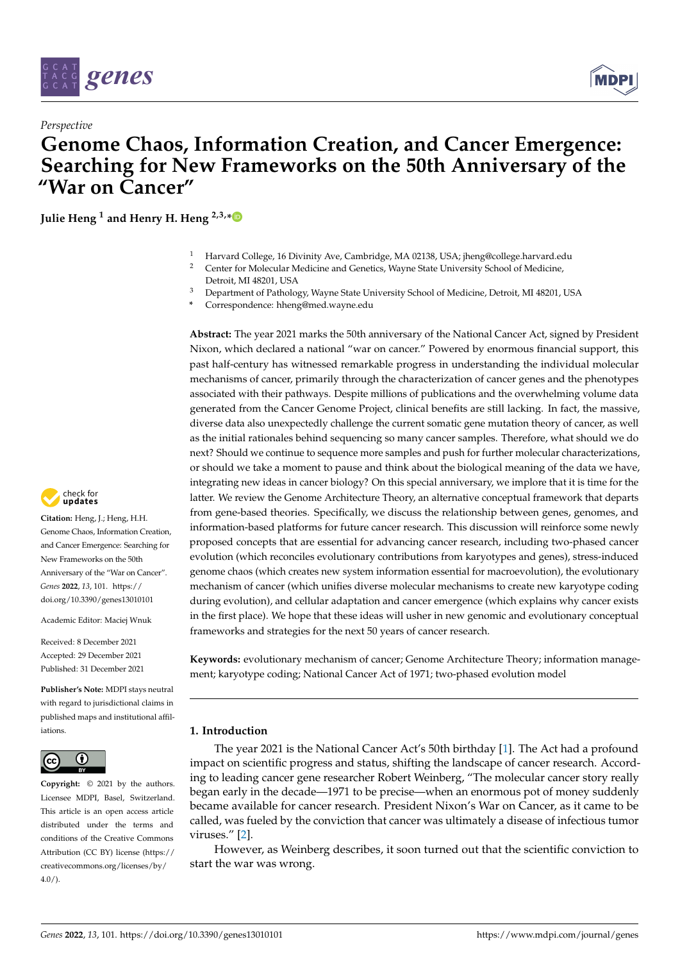

*Perspective*



# **Genome Chaos, Information Creation, and Cancer Emergence: Searching for New Frameworks on the 50th Anniversary of the "War on Cancer"**

**Julie Heng <sup>1</sup> and Henry H. Heng 2,3,[\\*](https://orcid.org/0000-0003-1475-9547)**

- <sup>1</sup> Harvard College, 16 Divinity Ave, Cambridge, MA 02138, USA; jheng@college.harvard.edu
- <sup>2</sup> Center for Molecular Medicine and Genetics, Wayne State University School of Medicine, Detroit, MI 48201, USA
- <sup>3</sup> Department of Pathology, Wayne State University School of Medicine, Detroit, MI 48201, USA
- **\*** Correspondence: hheng@med.wayne.edu

**Abstract:** The year 2021 marks the 50th anniversary of the National Cancer Act, signed by President Nixon, which declared a national "war on cancer." Powered by enormous financial support, this past half-century has witnessed remarkable progress in understanding the individual molecular mechanisms of cancer, primarily through the characterization of cancer genes and the phenotypes associated with their pathways. Despite millions of publications and the overwhelming volume data generated from the Cancer Genome Project, clinical benefits are still lacking. In fact, the massive, diverse data also unexpectedly challenge the current somatic gene mutation theory of cancer, as well as the initial rationales behind sequencing so many cancer samples. Therefore, what should we do next? Should we continue to sequence more samples and push for further molecular characterizations, or should we take a moment to pause and think about the biological meaning of the data we have, integrating new ideas in cancer biology? On this special anniversary, we implore that it is time for the latter. We review the Genome Architecture Theory, an alternative conceptual framework that departs from gene-based theories. Specifically, we discuss the relationship between genes, genomes, and information-based platforms for future cancer research. This discussion will reinforce some newly proposed concepts that are essential for advancing cancer research, including two-phased cancer evolution (which reconciles evolutionary contributions from karyotypes and genes), stress-induced genome chaos (which creates new system information essential for macroevolution), the evolutionary mechanism of cancer (which unifies diverse molecular mechanisms to create new karyotype coding during evolution), and cellular adaptation and cancer emergence (which explains why cancer exists in the first place). We hope that these ideas will usher in new genomic and evolutionary conceptual frameworks and strategies for the next 50 years of cancer research.

**Keywords:** evolutionary mechanism of cancer; Genome Architecture Theory; information management; karyotype coding; National Cancer Act of 1971; two-phased evolution model

# **1. Introduction**

The year 2021 is the National Cancer Act's 50th birthday [\[1\]](#page-13-0). The Act had a profound impact on scientific progress and status, shifting the landscape of cancer research. According to leading cancer gene researcher Robert Weinberg, "The molecular cancer story really began early in the decade—1971 to be precise—when an enormous pot of money suddenly became available for cancer research. President Nixon's War on Cancer, as it came to be called, was fueled by the conviction that cancer was ultimately a disease of infectious tumor viruses." [\[2\]](#page-13-1).

However, as Weinberg describes, it soon turned out that the scientific conviction to start the war was wrong.



**Citation:** Heng, J.; Heng, H.H. Genome Chaos, Information Creation, and Cancer Emergence: Searching for New Frameworks on the 50th Anniversary of the "War on Cancer". *Genes* **2022**, *13*, 101. [https://](https://doi.org/10.3390/genes13010101) [doi.org/10.3390/genes13010101](https://doi.org/10.3390/genes13010101)

Academic Editor: Maciej Wnuk

Received: 8 December 2021 Accepted: 29 December 2021 Published: 31 December 2021

**Publisher's Note:** MDPI stays neutral with regard to jurisdictional claims in published maps and institutional affiliations.



**Copyright:** © 2021 by the authors. Licensee MDPI, Basel, Switzerland. This article is an open access article distributed under the terms and conditions of the Creative Commons Attribution (CC BY) license [\(https://](https://creativecommons.org/licenses/by/4.0/) [creativecommons.org/licenses/by/](https://creativecommons.org/licenses/by/4.0/)  $4.0/$ ).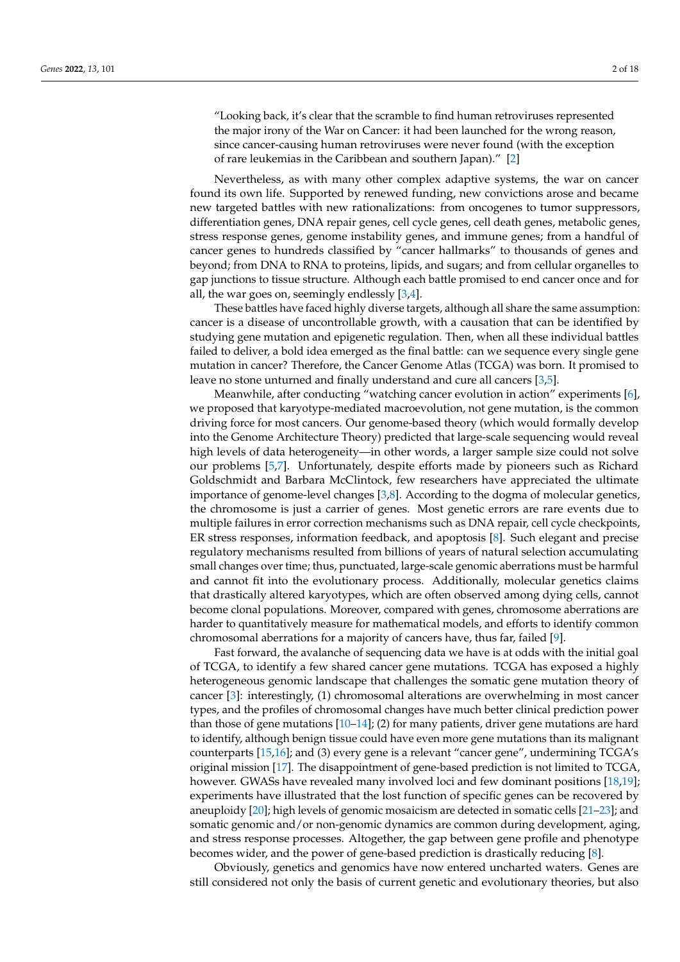"Looking back, it's clear that the scramble to find human retroviruses represented the major irony of the War on Cancer: it had been launched for the wrong reason, since cancer-causing human retroviruses were never found (with the exception of rare leukemias in the Caribbean and southern Japan)." [\[2\]](#page-13-1)

Nevertheless, as with many other complex adaptive systems, the war on cancer found its own life. Supported by renewed funding, new convictions arose and became new targeted battles with new rationalizations: from oncogenes to tumor suppressors, differentiation genes, DNA repair genes, cell cycle genes, cell death genes, metabolic genes, stress response genes, genome instability genes, and immune genes; from a handful of cancer genes to hundreds classified by "cancer hallmarks" to thousands of genes and beyond; from DNA to RNA to proteins, lipids, and sugars; and from cellular organelles to gap junctions to tissue structure. Although each battle promised to end cancer once and for all, the war goes on, seemingly endlessly  $[3,4]$  $[3,4]$ .

These battles have faced highly diverse targets, although all share the same assumption: cancer is a disease of uncontrollable growth, with a causation that can be identified by studying gene mutation and epigenetic regulation. Then, when all these individual battles failed to deliver, a bold idea emerged as the final battle: can we sequence every single gene mutation in cancer? Therefore, the Cancer Genome Atlas (TCGA) was born. It promised to leave no stone unturned and finally understand and cure all cancers [\[3,](#page-13-2)[5\]](#page-13-4).

Meanwhile, after conducting "watching cancer evolution in action" experiments [\[6\]](#page-13-5), we proposed that karyotype-mediated macroevolution, not gene mutation, is the common driving force for most cancers. Our genome-based theory (which would formally develop into the Genome Architecture Theory) predicted that large-scale sequencing would reveal high levels of data heterogeneity—in other words, a larger sample size could not solve our problems [\[5](#page-13-4)[,7\]](#page-13-6). Unfortunately, despite efforts made by pioneers such as Richard Goldschmidt and Barbara McClintock, few researchers have appreciated the ultimate importance of genome-level changes [\[3,](#page-13-2)[8\]](#page-13-7). According to the dogma of molecular genetics, the chromosome is just a carrier of genes. Most genetic errors are rare events due to multiple failures in error correction mechanisms such as DNA repair, cell cycle checkpoints, ER stress responses, information feedback, and apoptosis [\[8\]](#page-13-7). Such elegant and precise regulatory mechanisms resulted from billions of years of natural selection accumulating small changes over time; thus, punctuated, large-scale genomic aberrations must be harmful and cannot fit into the evolutionary process. Additionally, molecular genetics claims that drastically altered karyotypes, which are often observed among dying cells, cannot become clonal populations. Moreover, compared with genes, chromosome aberrations are harder to quantitatively measure for mathematical models, and efforts to identify common chromosomal aberrations for a majority of cancers have, thus far, failed [\[9\]](#page-13-8).

Fast forward, the avalanche of sequencing data we have is at odds with the initial goal of TCGA, to identify a few shared cancer gene mutations. TCGA has exposed a highly heterogeneous genomic landscape that challenges the somatic gene mutation theory of cancer [\[3\]](#page-13-2): interestingly, (1) chromosomal alterations are overwhelming in most cancer types, and the profiles of chromosomal changes have much better clinical prediction power than those of gene mutations  $[10-14]$  $[10-14]$ ; (2) for many patients, driver gene mutations are hard to identify, although benign tissue could have even more gene mutations than its malignant counterparts [\[15](#page-13-11)[,16\]](#page-13-12); and (3) every gene is a relevant "cancer gene", undermining TCGA's original mission [\[17\]](#page-13-13). The disappointment of gene-based prediction is not limited to TCGA, however. GWASs have revealed many involved loci and few dominant positions [\[18,](#page-13-14)[19\]](#page-14-0); experiments have illustrated that the lost function of specific genes can be recovered by aneuploidy [\[20\]](#page-14-1); high levels of genomic mosaicism are detected in somatic cells [\[21–](#page-14-2)[23\]](#page-14-3); and somatic genomic and/or non-genomic dynamics are common during development, aging, and stress response processes. Altogether, the gap between gene profile and phenotype becomes wider, and the power of gene-based prediction is drastically reducing [\[8\]](#page-13-7).

Obviously, genetics and genomics have now entered uncharted waters. Genes are still considered not only the basis of current genetic and evolutionary theories, but also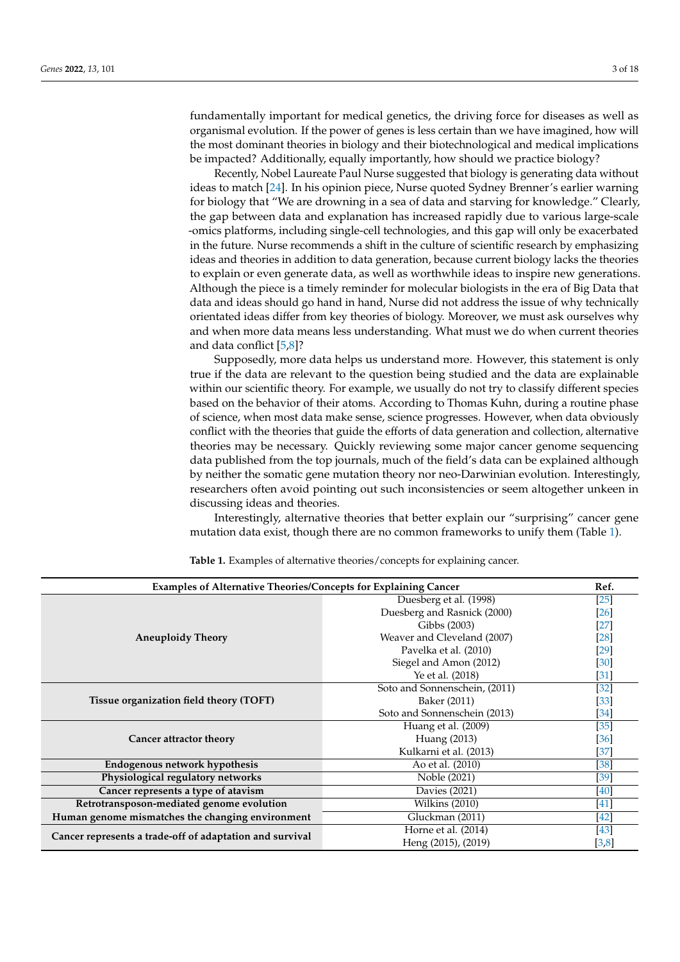fundamentally important for medical genetics, the driving force for diseases as well as organismal evolution. If the power of genes is less certain than we have imagined, how will the most dominant theories in biology and their biotechnological and medical implications be impacted? Additionally, equally importantly, how should we practice biology?

Recently, Nobel Laureate Paul Nurse suggested that biology is generating data without ideas to match [\[24\]](#page-14-4). In his opinion piece, Nurse quoted Sydney Brenner's earlier warning for biology that "We are drowning in a sea of data and starving for knowledge." Clearly, the gap between data and explanation has increased rapidly due to various large-scale -omics platforms, including single-cell technologies, and this gap will only be exacerbated in the future. Nurse recommends a shift in the culture of scientific research by emphasizing ideas and theories in addition to data generation, because current biology lacks the theories to explain or even generate data, as well as worthwhile ideas to inspire new generations. Although the piece is a timely reminder for molecular biologists in the era of Big Data that data and ideas should go hand in hand, Nurse did not address the issue of why technically orientated ideas differ from key theories of biology. Moreover, we must ask ourselves why and when more data means less understanding. What must we do when current theories and data conflict [\[5,](#page-13-4)[8\]](#page-13-7)?

Supposedly, more data helps us understand more. However, this statement is only true if the data are relevant to the question being studied and the data are explainable within our scientific theory. For example, we usually do not try to classify different species based on the behavior of their atoms. According to Thomas Kuhn, during a routine phase of science, when most data make sense, science progresses. However, when data obviously conflict with the theories that guide the efforts of data generation and collection, alternative theories may be necessary. Quickly reviewing some major cancer genome sequencing data published from the top journals, much of the field's data can be explained although by neither the somatic gene mutation theory nor neo-Darwinian evolution. Interestingly, researchers often avoid pointing out such inconsistencies or seem altogether unkeen in discussing ideas and theories.

Interestingly, alternative theories that better explain our "surprising" cancer gene mutation data exist, though there are no common frameworks to unify them (Table [1\)](#page-3-0).

| <b>Examples of Alternative Theories/Concepts for Explaining Cancer</b> |                                    | Ref.               |
|------------------------------------------------------------------------|------------------------------------|--------------------|
| <b>Aneuploidy Theory</b>                                               | Duesberg et al. (1998)             | $[25]$             |
|                                                                        | Duesberg and Rasnick (2000)        | [26]               |
|                                                                        | Gibbs (2003)                       | [27]               |
|                                                                        | Weaver and Cleveland (2007)        | $\left[ 28\right]$ |
|                                                                        | Pavelka et al. (2010)              | [29]               |
|                                                                        | Siegel and Amon (2012)             | [30]               |
|                                                                        | Ye et al. (2018)                   | [31]               |
| Tissue organization field theory (TOFT)                                | Soto and Sonnenschein, (2011)      | $[32]$             |
|                                                                        | Baker (2011)                       | [33]               |
|                                                                        | Soto and Sonnenschein (2013)       | $[34]$             |
| Cancer attractor theory                                                | Huang et al. (2009)                | [35]               |
|                                                                        | Huang (2013)                       | [36]               |
|                                                                        | Kulkarni et al. (2013)             | $[37]$             |
| Endogenous network hypothesis                                          | Ao et al. (2010)                   | [38]               |
| Physiological regulatory networks                                      | Noble (2021)                       | [39]               |
| Cancer represents a type of atavism                                    | Davies (2021)                      | [40]               |
| Retrotransposon-mediated genome evolution                              | $\overline{\text{Wilkins}}$ (2010) | [41]               |
| Human genome mismatches the changing environment                       | Gluckman (2011)                    | [42]               |
| Cancer represents a trade-off of adaptation and survival               | Horne et al. (2014)                | $[43]$             |
|                                                                        | Heng (2015), (2019)                | [3,8]              |

**Table 1.** Examples of alternative theories/concepts for explaining cancer.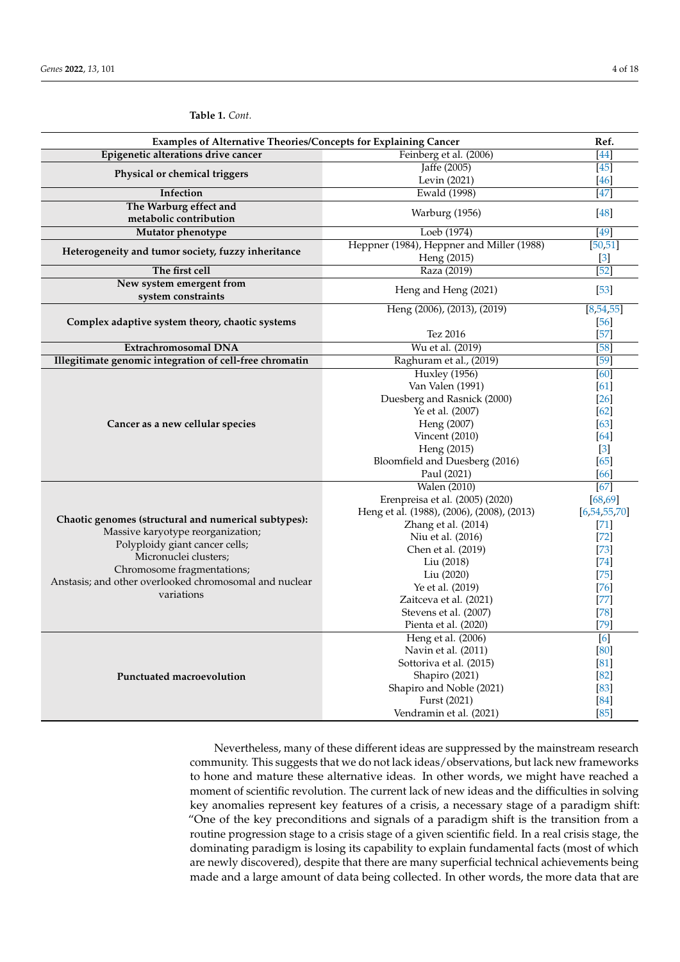<span id="page-3-0"></span>

| Examples of Alternative Theories/Concepts for Explaining Cancer                                                                                                                                                                                            |                                               | Ref.                        |
|------------------------------------------------------------------------------------------------------------------------------------------------------------------------------------------------------------------------------------------------------------|-----------------------------------------------|-----------------------------|
| Epigenetic alterations drive cancer                                                                                                                                                                                                                        | Feinberg et al. (2006)                        | $[44]$                      |
| Physical or chemical triggers                                                                                                                                                                                                                              | Jaffe (2005)                                  | $\overline{45}$             |
|                                                                                                                                                                                                                                                            | Levin (2021)                                  | [46]                        |
| Infection                                                                                                                                                                                                                                                  | <b>Ewald</b> (1998)                           | [47]                        |
| The Warburg effect and<br>metabolic contribution                                                                                                                                                                                                           | Warburg (1956)                                | [48]                        |
| Mutator phenotype                                                                                                                                                                                                                                          | Loeb (1974)                                   | [49]                        |
| Heterogeneity and tumor society, fuzzy inheritance                                                                                                                                                                                                         | Heppner (1984), Heppner and Miller (1988)     | [50, 51]                    |
|                                                                                                                                                                                                                                                            | Heng (2015)                                   | $[3]$                       |
| The first cell                                                                                                                                                                                                                                             | Raza (2019)                                   | $[52]$                      |
| New system emergent from                                                                                                                                                                                                                                   |                                               |                             |
| system constraints                                                                                                                                                                                                                                         | Heng and Heng (2021)                          | $[53]$                      |
| Complex adaptive system theory, chaotic systems                                                                                                                                                                                                            | Heng (2006), (2013), (2019)                   | [8, 54, 55]                 |
|                                                                                                                                                                                                                                                            |                                               | [56]                        |
|                                                                                                                                                                                                                                                            | Tez 2016                                      | $[57]$                      |
| Extrachromosomal DNA                                                                                                                                                                                                                                       | Wu et al. (2019)                              | $[58]$                      |
| Illegitimate genomic integration of cell-free chromatin                                                                                                                                                                                                    | Raghuram et al., (2019)                       | $[59]$                      |
|                                                                                                                                                                                                                                                            | <b>Huxley</b> (1956)                          | [60]                        |
|                                                                                                                                                                                                                                                            | Van Valen (1991)                              | [61]                        |
|                                                                                                                                                                                                                                                            | Duesberg and Rasnick (2000)                   | [26]                        |
|                                                                                                                                                                                                                                                            | Ye et al. (2007)                              | 62                          |
| Cancer as a new cellular species                                                                                                                                                                                                                           | Heng (2007)                                   | [63]                        |
|                                                                                                                                                                                                                                                            | Vincent $(2010)$                              | [64]                        |
|                                                                                                                                                                                                                                                            | Heng (2015)<br>Bloomfield and Duesberg (2016) | $\lceil 3 \rceil$<br>$[65]$ |
|                                                                                                                                                                                                                                                            | Paul (2021)                                   | [66]                        |
|                                                                                                                                                                                                                                                            | <b>Walen (2010)</b>                           | [67]                        |
|                                                                                                                                                                                                                                                            | Erenpreisa et al. (2005) (2020)               | [68, 69]                    |
|                                                                                                                                                                                                                                                            | Heng et al. (1988), (2006), (2008), (2013)    | [6, 54, 55, 70]             |
| Chaotic genomes (structural and numerical subtypes):<br>Massive karyotype reorganization;<br>Polyploidy giant cancer cells;<br>Micronuclei clusters;<br>Chromosome fragmentations;<br>Anstasis; and other overlooked chromosomal and nuclear<br>variations | Zhang et al. (2014)                           | $[71]$                      |
|                                                                                                                                                                                                                                                            | Niu et al. (2016)                             | [72]                        |
|                                                                                                                                                                                                                                                            | Chen et al. (2019)                            | [73]                        |
|                                                                                                                                                                                                                                                            | Liu (2018)                                    | [74]                        |
|                                                                                                                                                                                                                                                            | Liu (2020)                                    | [75]                        |
|                                                                                                                                                                                                                                                            | Ye et al. (2019)                              | [76]                        |
|                                                                                                                                                                                                                                                            | Zaitceva et al. (2021)                        | [77]                        |
|                                                                                                                                                                                                                                                            | Stevens et al. (2007)                         | $[78]$                      |
|                                                                                                                                                                                                                                                            | Pienta et al. (2020)                          | [79]                        |
| Punctuated macroevolution                                                                                                                                                                                                                                  | Heng et al. (2006)                            | [6]                         |
|                                                                                                                                                                                                                                                            | Navin et al. (2011)                           | [80]                        |
|                                                                                                                                                                                                                                                            | Sottoriva et al. (2015)                       | $\lceil 81 \rceil$          |
|                                                                                                                                                                                                                                                            | Shapiro (2021)                                | [82]                        |
|                                                                                                                                                                                                                                                            | Shapiro and Noble (2021)                      | $\lceil 83 \rceil$          |
|                                                                                                                                                                                                                                                            | Furst (2021)                                  | [84]                        |
|                                                                                                                                                                                                                                                            | Vendramin et al. (2021)                       | $[85]$                      |

Nevertheless, many of these different ideas are suppressed by the mainstream research community. This suggests that we do not lack ideas/observations, but lack new frameworks to hone and mature these alternative ideas. In other words, we might have reached a moment of scientific revolution. The current lack of new ideas and the difficulties in solving key anomalies represent key features of a crisis, a necessary stage of a paradigm shift: "One of the key preconditions and signals of a paradigm shift is the transition from a routine progression stage to a crisis stage of a given scientific field. In a real crisis stage, the dominating paradigm is losing its capability to explain fundamental facts (most of which are newly discovered), despite that there are many superficial technical achievements being made and a large amount of data being collected. In other words, the more data that are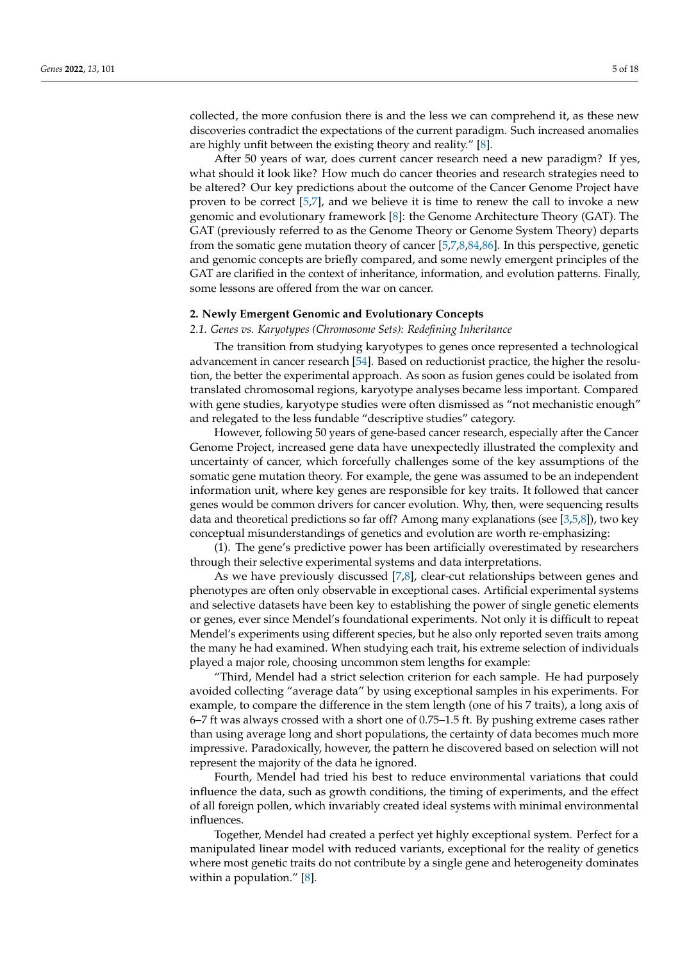collected, the more confusion there is and the less we can comprehend it, as these new discoveries contradict the expectations of the current paradigm. Such increased anomalies are highly unfit between the existing theory and reality." [\[8\]](#page-13-7).

After 50 years of war, does current cancer research need a new paradigm? If yes, what should it look like? How much do cancer theories and research strategies need to be altered? Our key predictions about the outcome of the Cancer Genome Project have proven to be correct [\[5](#page-13-4)[,7\]](#page-13-6), and we believe it is time to renew the call to invoke a new genomic and evolutionary framework [\[8\]](#page-13-7): the Genome Architecture Theory (GAT). The GAT (previously referred to as the Genome Theory or Genome System Theory) departs from the somatic gene mutation theory of cancer [\[5](#page-13-4)[,7](#page-13-6)[,8,](#page-13-7)[84,](#page-15-29)[86\]](#page-15-31). In this perspective, genetic and genomic concepts are briefly compared, and some newly emergent principles of the GAT are clarified in the context of inheritance, information, and evolution patterns. Finally, some lessons are offered from the war on cancer.

#### **2. Newly Emergent Genomic and Evolutionary Concepts**

*2.1. Genes vs. Karyotypes (Chromosome Sets): Redefining Inheritance*

The transition from studying karyotypes to genes once represented a technological advancement in cancer research [\[54\]](#page-14-34). Based on reductionist practice, the higher the resolution, the better the experimental approach. As soon as fusion genes could be isolated from translated chromosomal regions, karyotype analyses became less important. Compared with gene studies, karyotype studies were often dismissed as "not mechanistic enough" and relegated to the less fundable "descriptive studies" category.

However, following 50 years of gene-based cancer research, especially after the Cancer Genome Project, increased gene data have unexpectedly illustrated the complexity and uncertainty of cancer, which forcefully challenges some of the key assumptions of the somatic gene mutation theory. For example, the gene was assumed to be an independent information unit, where key genes are responsible for key traits. It followed that cancer genes would be common drivers for cancer evolution. Why, then, were sequencing results data and theoretical predictions so far off? Among many explanations (see [\[3,](#page-13-2)[5,](#page-13-4)[8\]](#page-13-7)), two key conceptual misunderstandings of genetics and evolution are worth re-emphasizing:

(1). The gene's predictive power has been artificially overestimated by researchers through their selective experimental systems and data interpretations.

As we have previously discussed [\[7,](#page-13-6)[8\]](#page-13-7), clear-cut relationships between genes and phenotypes are often only observable in exceptional cases. Artificial experimental systems and selective datasets have been key to establishing the power of single genetic elements or genes, ever since Mendel's foundational experiments. Not only it is difficult to repeat Mendel's experiments using different species, but he also only reported seven traits among the many he had examined. When studying each trait, his extreme selection of individuals played a major role, choosing uncommon stem lengths for example:

"Third, Mendel had a strict selection criterion for each sample. He had purposely avoided collecting "average data" by using exceptional samples in his experiments. For example, to compare the difference in the stem length (one of his 7 traits), a long axis of 6–7 ft was always crossed with a short one of 0.75–1.5 ft. By pushing extreme cases rather than using average long and short populations, the certainty of data becomes much more impressive. Paradoxically, however, the pattern he discovered based on selection will not represent the majority of the data he ignored.

Fourth, Mendel had tried his best to reduce environmental variations that could influence the data, such as growth conditions, the timing of experiments, and the effect of all foreign pollen, which invariably created ideal systems with minimal environmental influences.

Together, Mendel had created a perfect yet highly exceptional system. Perfect for a manipulated linear model with reduced variants, exceptional for the reality of genetics where most genetic traits do not contribute by a single gene and heterogeneity dominates within a population." [\[8\]](#page-13-7).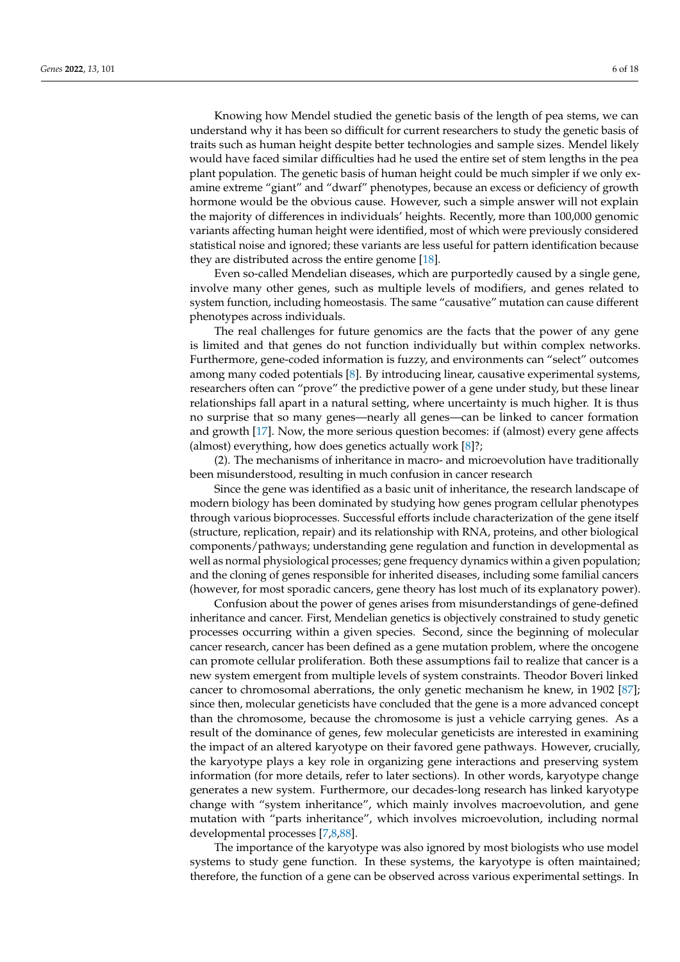Knowing how Mendel studied the genetic basis of the length of pea stems, we can understand why it has been so difficult for current researchers to study the genetic basis of traits such as human height despite better technologies and sample sizes. Mendel likely would have faced similar difficulties had he used the entire set of stem lengths in the pea plant population. The genetic basis of human height could be much simpler if we only examine extreme "giant" and "dwarf" phenotypes, because an excess or deficiency of growth hormone would be the obvious cause. However, such a simple answer will not explain the majority of differences in individuals' heights. Recently, more than 100,000 genomic variants affecting human height were identified, most of which were previously considered statistical noise and ignored; these variants are less useful for pattern identification because they are distributed across the entire genome [\[18\]](#page-13-14).

Even so-called Mendelian diseases, which are purportedly caused by a single gene, involve many other genes, such as multiple levels of modifiers, and genes related to system function, including homeostasis. The same "causative" mutation can cause different phenotypes across individuals.

The real challenges for future genomics are the facts that the power of any gene is limited and that genes do not function individually but within complex networks. Furthermore, gene-coded information is fuzzy, and environments can "select" outcomes among many coded potentials [\[8\]](#page-13-7). By introducing linear, causative experimental systems, researchers often can "prove" the predictive power of a gene under study, but these linear relationships fall apart in a natural setting, where uncertainty is much higher. It is thus no surprise that so many genes—nearly all genes—can be linked to cancer formation and growth [\[17\]](#page-13-13). Now, the more serious question becomes: if (almost) every gene affects (almost) everything, how does genetics actually work [\[8\]](#page-13-7)?;

(2). The mechanisms of inheritance in macro- and microevolution have traditionally been misunderstood, resulting in much confusion in cancer research

Since the gene was identified as a basic unit of inheritance, the research landscape of modern biology has been dominated by studying how genes program cellular phenotypes through various bioprocesses. Successful efforts include characterization of the gene itself (structure, replication, repair) and its relationship with RNA, proteins, and other biological components/pathways; understanding gene regulation and function in developmental as well as normal physiological processes; gene frequency dynamics within a given population; and the cloning of genes responsible for inherited diseases, including some familial cancers (however, for most sporadic cancers, gene theory has lost much of its explanatory power).

Confusion about the power of genes arises from misunderstandings of gene-defined inheritance and cancer. First, Mendelian genetics is objectively constrained to study genetic processes occurring within a given species. Second, since the beginning of molecular cancer research, cancer has been defined as a gene mutation problem, where the oncogene can promote cellular proliferation. Both these assumptions fail to realize that cancer is a new system emergent from multiple levels of system constraints. Theodor Boveri linked cancer to chromosomal aberrations, the only genetic mechanism he knew, in 1902 [\[87\]](#page-16-0); since then, molecular geneticists have concluded that the gene is a more advanced concept than the chromosome, because the chromosome is just a vehicle carrying genes. As a result of the dominance of genes, few molecular geneticists are interested in examining the impact of an altered karyotype on their favored gene pathways. However, crucially, the karyotype plays a key role in organizing gene interactions and preserving system information (for more details, refer to later sections). In other words, karyotype change generates a new system. Furthermore, our decades-long research has linked karyotype change with "system inheritance", which mainly involves macroevolution, and gene mutation with "parts inheritance", which involves microevolution, including normal developmental processes [\[7,](#page-13-6)[8,](#page-13-7)[88\]](#page-16-1).

The importance of the karyotype was also ignored by most biologists who use model systems to study gene function. In these systems, the karyotype is often maintained; therefore, the function of a gene can be observed across various experimental settings. In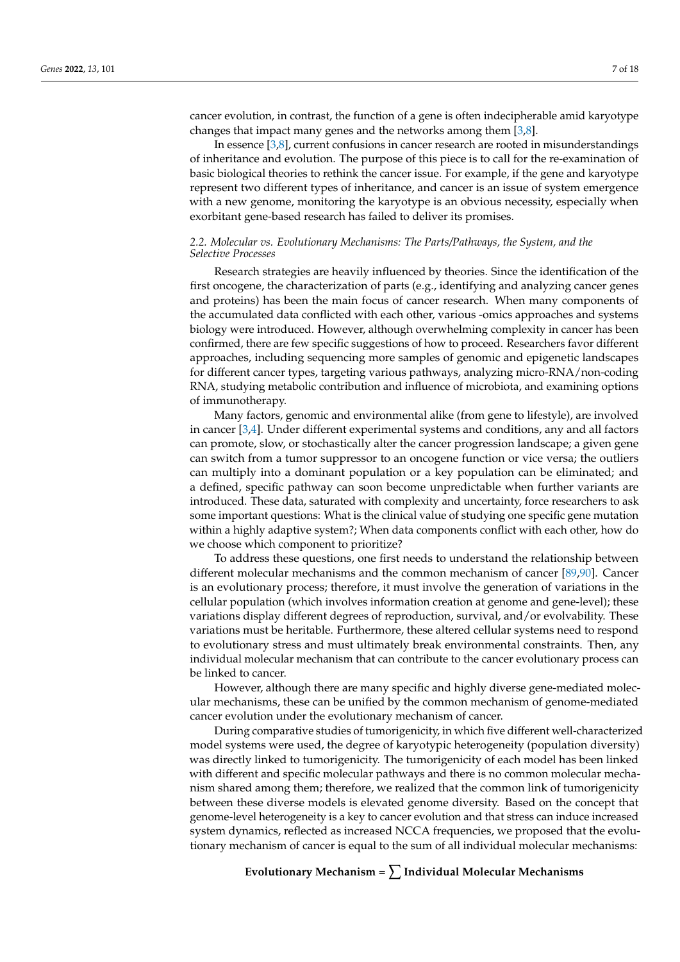cancer evolution, in contrast, the function of a gene is often indecipherable amid karyotype changes that impact many genes and the networks among them [\[3,](#page-13-2)[8\]](#page-13-7).

In essence [\[3](#page-13-2)[,8\]](#page-13-7), current confusions in cancer research are rooted in misunderstandings of inheritance and evolution. The purpose of this piece is to call for the re-examination of basic biological theories to rethink the cancer issue. For example, if the gene and karyotype represent two different types of inheritance, and cancer is an issue of system emergence with a new genome, monitoring the karyotype is an obvious necessity, especially when exorbitant gene-based research has failed to deliver its promises.

## *2.2. Molecular vs. Evolutionary Mechanisms: The Parts/Pathways, the System, and the Selective Processes*

Research strategies are heavily influenced by theories. Since the identification of the first oncogene, the characterization of parts (e.g., identifying and analyzing cancer genes and proteins) has been the main focus of cancer research. When many components of the accumulated data conflicted with each other, various -omics approaches and systems biology were introduced. However, although overwhelming complexity in cancer has been confirmed, there are few specific suggestions of how to proceed. Researchers favor different approaches, including sequencing more samples of genomic and epigenetic landscapes for different cancer types, targeting various pathways, analyzing micro-RNA/non-coding RNA, studying metabolic contribution and influence of microbiota, and examining options of immunotherapy.

Many factors, genomic and environmental alike (from gene to lifestyle), are involved in cancer [\[3](#page-13-2)[,4\]](#page-13-3). Under different experimental systems and conditions, any and all factors can promote, slow, or stochastically alter the cancer progression landscape; a given gene can switch from a tumor suppressor to an oncogene function or vice versa; the outliers can multiply into a dominant population or a key population can be eliminated; and a defined, specific pathway can soon become unpredictable when further variants are introduced. These data, saturated with complexity and uncertainty, force researchers to ask some important questions: What is the clinical value of studying one specific gene mutation within a highly adaptive system?; When data components conflict with each other, how do we choose which component to prioritize?

To address these questions, one first needs to understand the relationship between different molecular mechanisms and the common mechanism of cancer [\[89,](#page-16-2)[90\]](#page-16-3). Cancer is an evolutionary process; therefore, it must involve the generation of variations in the cellular population (which involves information creation at genome and gene-level); these variations display different degrees of reproduction, survival, and/or evolvability. These variations must be heritable. Furthermore, these altered cellular systems need to respond to evolutionary stress and must ultimately break environmental constraints. Then, any individual molecular mechanism that can contribute to the cancer evolutionary process can be linked to cancer.

However, although there are many specific and highly diverse gene-mediated molecular mechanisms, these can be unified by the common mechanism of genome-mediated cancer evolution under the evolutionary mechanism of cancer.

During comparative studies of tumorigenicity, in which five different well-characterized model systems were used, the degree of karyotypic heterogeneity (population diversity) was directly linked to tumorigenicity. The tumorigenicity of each model has been linked with different and specific molecular pathways and there is no common molecular mechanism shared among them; therefore, we realized that the common link of tumorigenicity between these diverse models is elevated genome diversity. Based on the concept that genome-level heterogeneity is a key to cancer evolution and that stress can induce increased system dynamics, reflected as increased NCCA frequencies, we proposed that the evolutionary mechanism of cancer is equal to the sum of all individual molecular mechanisms:

**Evolutionary Mechanism =** ∑ **Individual Molecular Mechanisms**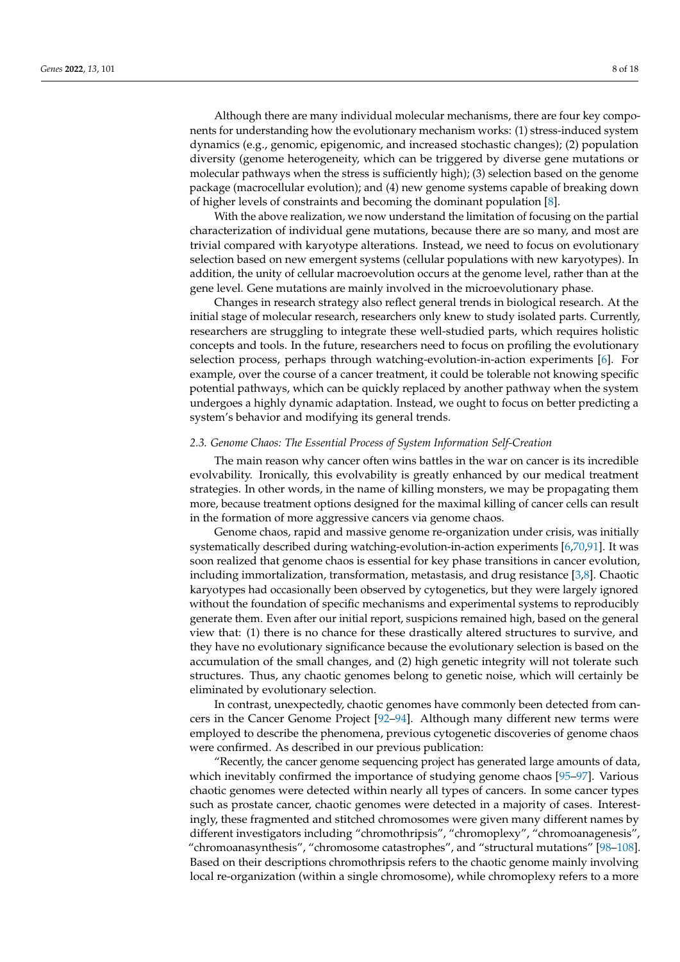Although there are many individual molecular mechanisms, there are four key components for understanding how the evolutionary mechanism works: (1) stress-induced system dynamics (e.g., genomic, epigenomic, and increased stochastic changes); (2) population diversity (genome heterogeneity, which can be triggered by diverse gene mutations or molecular pathways when the stress is sufficiently high); (3) selection based on the genome package (macrocellular evolution); and (4) new genome systems capable of breaking down of higher levels of constraints and becoming the dominant population [\[8\]](#page-13-7).

With the above realization, we now understand the limitation of focusing on the partial characterization of individual gene mutations, because there are so many, and most are trivial compared with karyotype alterations. Instead, we need to focus on evolutionary selection based on new emergent systems (cellular populations with new karyotypes). In addition, the unity of cellular macroevolution occurs at the genome level, rather than at the gene level. Gene mutations are mainly involved in the microevolutionary phase.

Changes in research strategy also reflect general trends in biological research. At the initial stage of molecular research, researchers only knew to study isolated parts. Currently, researchers are struggling to integrate these well-studied parts, which requires holistic concepts and tools. In the future, researchers need to focus on profiling the evolutionary selection process, perhaps through watching-evolution-in-action experiments [\[6\]](#page-13-5). For example, over the course of a cancer treatment, it could be tolerable not knowing specific potential pathways, which can be quickly replaced by another pathway when the system undergoes a highly dynamic adaptation. Instead, we ought to focus on better predicting a system's behavior and modifying its general trends.

#### *2.3. Genome Chaos: The Essential Process of System Information Self-Creation*

The main reason why cancer often wins battles in the war on cancer is its incredible evolvability. Ironically, this evolvability is greatly enhanced by our medical treatment strategies. In other words, in the name of killing monsters, we may be propagating them more, because treatment options designed for the maximal killing of cancer cells can result in the formation of more aggressive cancers via genome chaos.

Genome chaos, rapid and massive genome re-organization under crisis, was initially systematically described during watching-evolution-in-action experiments [\[6,](#page-13-5)[70](#page-15-15)[,91\]](#page-16-4). It was soon realized that genome chaos is essential for key phase transitions in cancer evolution, including immortalization, transformation, metastasis, and drug resistance [\[3,](#page-13-2)[8\]](#page-13-7). Chaotic karyotypes had occasionally been observed by cytogenetics, but they were largely ignored without the foundation of specific mechanisms and experimental systems to reproducibly generate them. Even after our initial report, suspicions remained high, based on the general view that: (1) there is no chance for these drastically altered structures to survive, and they have no evolutionary significance because the evolutionary selection is based on the accumulation of the small changes, and (2) high genetic integrity will not tolerate such structures. Thus, any chaotic genomes belong to genetic noise, which will certainly be eliminated by evolutionary selection.

In contrast, unexpectedly, chaotic genomes have commonly been detected from cancers in the Cancer Genome Project [\[92](#page-16-5)[–94\]](#page-16-6). Although many different new terms were employed to describe the phenomena, previous cytogenetic discoveries of genome chaos were confirmed. As described in our previous publication:

"Recently, the cancer genome sequencing project has generated large amounts of data, which inevitably confirmed the importance of studying genome chaos [\[95–](#page-16-7)[97\]](#page-16-8). Various chaotic genomes were detected within nearly all types of cancers. In some cancer types such as prostate cancer, chaotic genomes were detected in a majority of cases. Interestingly, these fragmented and stitched chromosomes were given many different names by different investigators including "chromothripsis", "chromoplexy", "chromoanagenesis", "chromoanasynthesis", "chromosome catastrophes", and "structural mutations" [\[98](#page-16-9)[–108\]](#page-16-10). Based on their descriptions chromothripsis refers to the chaotic genome mainly involving local re-organization (within a single chromosome), while chromoplexy refers to a more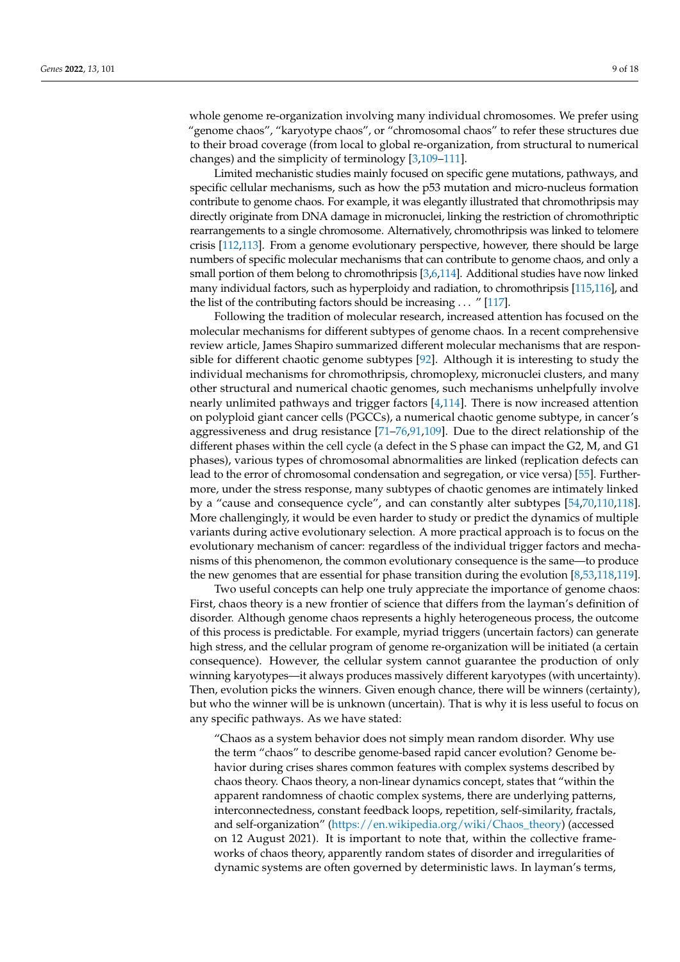whole genome re-organization involving many individual chromosomes. We prefer using "genome chaos", "karyotype chaos", or "chromosomal chaos" to refer these structures due to their broad coverage (from local to global re-organization, from structural to numerical changes) and the simplicity of terminology [\[3,](#page-13-2)[109](#page-16-11)[–111\]](#page-16-12).

Limited mechanistic studies mainly focused on specific gene mutations, pathways, and specific cellular mechanisms, such as how the p53 mutation and micro-nucleus formation contribute to genome chaos. For example, it was elegantly illustrated that chromothripsis may directly originate from DNA damage in micronuclei, linking the restriction of chromothriptic rearrangements to a single chromosome. Alternatively, chromothripsis was linked to telomere crisis [\[112](#page-16-13)[,113\]](#page-16-14). From a genome evolutionary perspective, however, there should be large numbers of specific molecular mechanisms that can contribute to genome chaos, and only a small portion of them belong to chromothripsis [\[3,](#page-13-2)[6](#page-13-5)[,114\]](#page-16-15). Additional studies have now linked many individual factors, such as hyperploidy and radiation, to chromothripsis [\[115,](#page-16-16)[116\]](#page-17-0), and the list of the contributing factors should be increasing . . . " [\[117\]](#page-17-1).

Following the tradition of molecular research, increased attention has focused on the molecular mechanisms for different subtypes of genome chaos. In a recent comprehensive review article, James Shapiro summarized different molecular mechanisms that are responsible for different chaotic genome subtypes [\[92\]](#page-16-5). Although it is interesting to study the individual mechanisms for chromothripsis, chromoplexy, micronuclei clusters, and many other structural and numerical chaotic genomes, such mechanisms unhelpfully involve nearly unlimited pathways and trigger factors [\[4,](#page-13-3)[114\]](#page-16-15). There is now increased attention on polyploid giant cancer cells (PGCCs), a numerical chaotic genome subtype, in cancer's aggressiveness and drug resistance [\[71](#page-15-16)[–76,](#page-15-21)[91,](#page-16-4)[109\]](#page-16-11). Due to the direct relationship of the different phases within the cell cycle (a defect in the S phase can impact the G2, M, and G1 phases), various types of chromosomal abnormalities are linked (replication defects can lead to the error of chromosomal condensation and segregation, or vice versa) [\[55\]](#page-15-0). Furthermore, under the stress response, many subtypes of chaotic genomes are intimately linked by a "cause and consequence cycle", and can constantly alter subtypes [\[54,](#page-14-34)[70,](#page-15-15)[110,](#page-16-17)[118\]](#page-17-2). More challengingly, it would be even harder to study or predict the dynamics of multiple variants during active evolutionary selection. A more practical approach is to focus on the evolutionary mechanism of cancer: regardless of the individual trigger factors and mechanisms of this phenomenon, the common evolutionary consequence is the same—to produce the new genomes that are essential for phase transition during the evolution [\[8](#page-13-7)[,53](#page-14-33)[,118](#page-17-2)[,119\]](#page-17-3).

Two useful concepts can help one truly appreciate the importance of genome chaos: First, chaos theory is a new frontier of science that differs from the layman's definition of disorder. Although genome chaos represents a highly heterogeneous process, the outcome of this process is predictable. For example, myriad triggers (uncertain factors) can generate high stress, and the cellular program of genome re-organization will be initiated (a certain consequence). However, the cellular system cannot guarantee the production of only winning karyotypes—it always produces massively different karyotypes (with uncertainty). Then, evolution picks the winners. Given enough chance, there will be winners (certainty), but who the winner will be is unknown (uncertain). That is why it is less useful to focus on any specific pathways. As we have stated:

"Chaos as a system behavior does not simply mean random disorder. Why use the term "chaos" to describe genome-based rapid cancer evolution? Genome behavior during crises shares common features with complex systems described by chaos theory. Chaos theory, a non-linear dynamics concept, states that "within the apparent randomness of chaotic complex systems, there are underlying patterns, interconnectedness, constant feedback loops, repetition, self-similarity, fractals, and self-organization" [\(https://en.wikipedia.org/wiki/Chaos\\_theory\)](https://en.wikipedia.org/wiki/Chaos_theory) (accessed on 12 August 2021). It is important to note that, within the collective frameworks of chaos theory, apparently random states of disorder and irregularities of dynamic systems are often governed by deterministic laws. In layman's terms,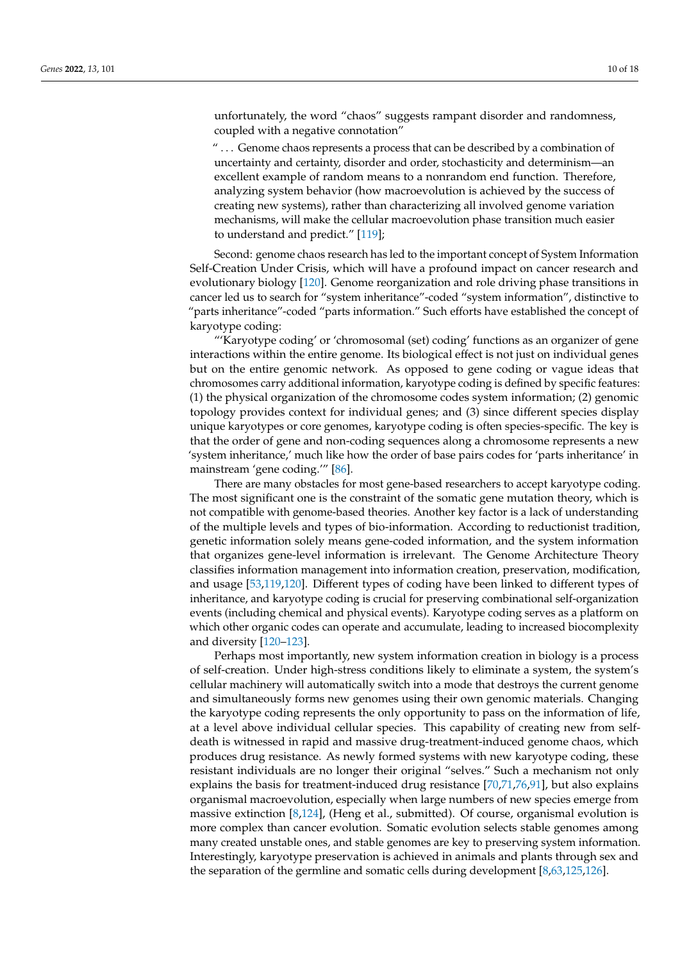unfortunately, the word "chaos" suggests rampant disorder and randomness, coupled with a negative connotation"

" . . . Genome chaos represents a process that can be described by a combination of uncertainty and certainty, disorder and order, stochasticity and determinism—an excellent example of random means to a nonrandom end function. Therefore, analyzing system behavior (how macroevolution is achieved by the success of creating new systems), rather than characterizing all involved genome variation mechanisms, will make the cellular macroevolution phase transition much easier to understand and predict." [\[119\]](#page-17-3);

Second: genome chaos research has led to the important concept of System Information Self-Creation Under Crisis, which will have a profound impact on cancer research and evolutionary biology [\[120\]](#page-17-4). Genome reorganization and role driving phase transitions in cancer led us to search for "system inheritance"-coded "system information", distinctive to "parts inheritance"-coded "parts information." Such efforts have established the concept of karyotype coding:

"'Karyotype coding' or 'chromosomal (set) coding' functions as an organizer of gene interactions within the entire genome. Its biological effect is not just on individual genes but on the entire genomic network. As opposed to gene coding or vague ideas that chromosomes carry additional information, karyotype coding is defined by specific features: (1) the physical organization of the chromosome codes system information; (2) genomic topology provides context for individual genes; and (3) since different species display unique karyotypes or core genomes, karyotype coding is often species-specific. The key is that the order of gene and non-coding sequences along a chromosome represents a new 'system inheritance,' much like how the order of base pairs codes for 'parts inheritance' in mainstream 'gene coding.'" [\[86\]](#page-15-31).

There are many obstacles for most gene-based researchers to accept karyotype coding. The most significant one is the constraint of the somatic gene mutation theory, which is not compatible with genome-based theories. Another key factor is a lack of understanding of the multiple levels and types of bio-information. According to reductionist tradition, genetic information solely means gene-coded information, and the system information that organizes gene-level information is irrelevant. The Genome Architecture Theory classifies information management into information creation, preservation, modification, and usage [\[53](#page-14-33)[,119](#page-17-3)[,120\]](#page-17-4). Different types of coding have been linked to different types of inheritance, and karyotype coding is crucial for preserving combinational self-organization events (including chemical and physical events). Karyotype coding serves as a platform on which other organic codes can operate and accumulate, leading to increased biocomplexity and diversity [\[120–](#page-17-4)[123\]](#page-17-5).

Perhaps most importantly, new system information creation in biology is a process of self-creation. Under high-stress conditions likely to eliminate a system, the system's cellular machinery will automatically switch into a mode that destroys the current genome and simultaneously forms new genomes using their own genomic materials. Changing the karyotype coding represents the only opportunity to pass on the information of life, at a level above individual cellular species. This capability of creating new from selfdeath is witnessed in rapid and massive drug-treatment-induced genome chaos, which produces drug resistance. As newly formed systems with new karyotype coding, these resistant individuals are no longer their original "selves." Such a mechanism not only explains the basis for treatment-induced drug resistance [\[70,](#page-15-15)[71,](#page-15-16)[76,](#page-15-21)[91\]](#page-16-4), but also explains organismal macroevolution, especially when large numbers of new species emerge from massive extinction [\[8,](#page-13-7)[124\]](#page-17-6), (Heng et al., submitted). Of course, organismal evolution is more complex than cancer evolution. Somatic evolution selects stable genomes among many created unstable ones, and stable genomes are key to preserving system information. Interestingly, karyotype preservation is achieved in animals and plants through sex and the separation of the germline and somatic cells during development [\[8,](#page-13-7)[63,](#page-15-8)[125,](#page-17-7)[126\]](#page-17-8).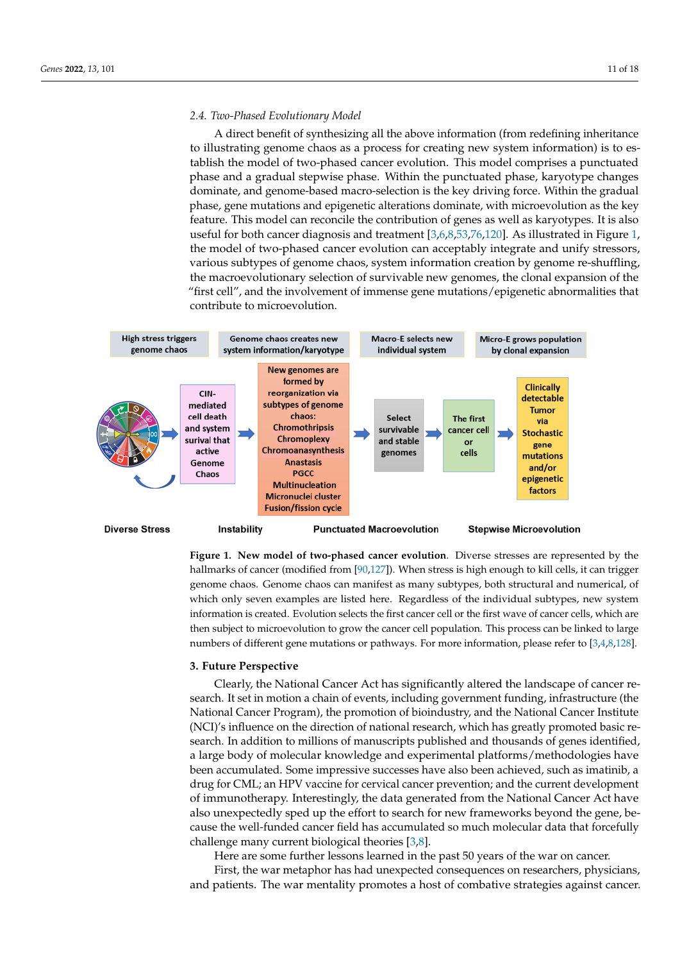#### *2.4. Two-Phased Evolutionary Model*

A direct benefit of synthesizing all the above information (from redefining inheritance to illustrating genome chaos as a process for creating new system information) is to establish the model of two-phased cancer evolution. This model comprises a punctuated phase and a gradual stepwise phase. Within the punctuated phase, karyotype changes dominate, and genome-based macro-selection is the key driving force. Within the gradual phase, gene mutations and epigenetic alterations dominate, with microevolution as the key feature. This model can reconcile the contribution of genes as well as karyotypes. It is also useful for both cancer diagnosis and treatment [\[3](#page-13-2)[,6](#page-13-5)[,8](#page-13-7)[,53,](#page-14-33)[76,](#page-15-21)[120\]](#page-17-4). As illustrated in Figure [1,](#page-10-0) the model of two-phased cancer evolution can acceptably integrate and unify stressors, various subtypes of genome chaos, system information creation by genome re-shuffling, the macroevolutionary selection of survivable new genomes, the clonal expansion of the "first cell", and the involvement of immense gene mutations/epigenetic abnormalities that contribute to microevolution.

<span id="page-10-0"></span>

**Figure 1. New model of two-phased cancer evolution**. Diverse stresses are represented by the hallmarks of cancer (modified from [\[90](#page-16-3)[,127\]](#page-17-9)). When stress is high enough to kill cells, it can trigger genome chaos. Genome chaos can manifest as many subtypes, both structural and numerical, of which only seven examples are listed here. Regardless of the individual subtypes, new system information is created. Evolution selects the first cancer cell or the first wave of cancer cells, which are then subject to microevolution to grow the cancer cell population. This process can be linked to large numbers of different gene mutations or pathways. For more information, please refer to [\[3,](#page-13-2)[4,](#page-13-3)[8](#page-13-7)[,128\]](#page-17-10).

#### **3. Future Perspective**

Clearly, the National Cancer Act has significantly altered the landscape of cancer research. It set in motion a chain of events, including government funding, infrastructure (the National Cancer Program), the promotion of bioindustry, and the National Cancer Institute (NCI)'s influence on the direction of national research, which has greatly promoted basic research. In addition to millions of manuscripts published and thousands of genes identified, a large body of molecular knowledge and experimental platforms/methodologies have been accumulated. Some impressive successes have also been achieved, such as imatinib, a drug for CML; an HPV vaccine for cervical cancer prevention; and the current development of immunotherapy. Interestingly, the data generated from the National Cancer Act have also unexpectedly sped up the effort to search for new frameworks beyond the gene, because the well-funded cancer field has accumulated so much molecular data that forcefully challenge many current biological theories [\[3,](#page-13-2)[8\]](#page-13-7).

Here are some further lessons learned in the past 50 years of the war on cancer.

First, the war metaphor has had unexpected consequences on researchers, physicians, and patients. The war mentality promotes a host of combative strategies against cancer.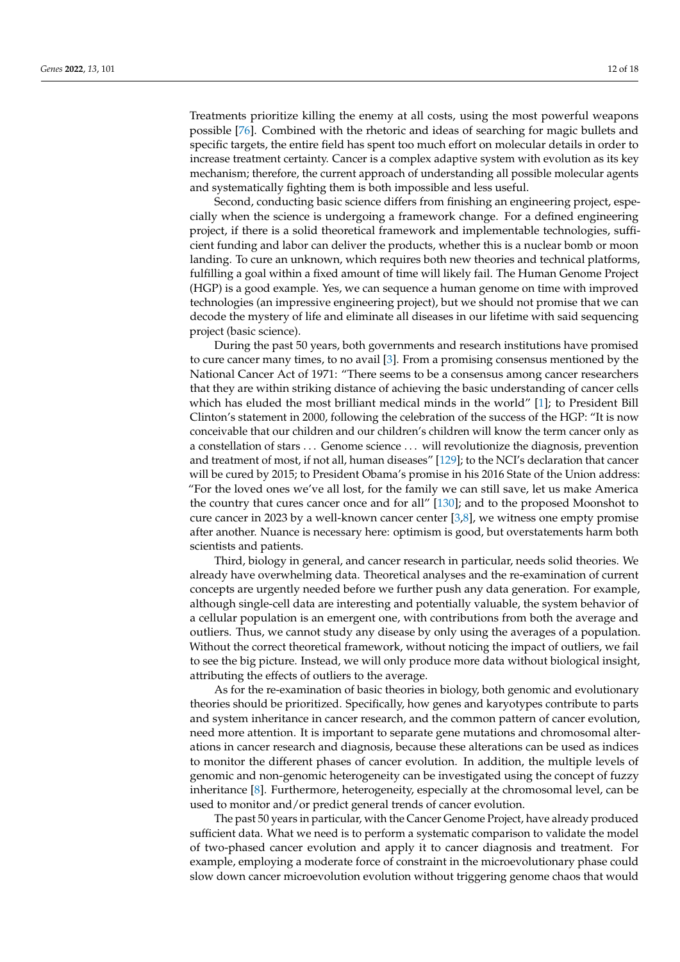Treatments prioritize killing the enemy at all costs, using the most powerful weapons possible [\[76\]](#page-15-21). Combined with the rhetoric and ideas of searching for magic bullets and specific targets, the entire field has spent too much effort on molecular details in order to increase treatment certainty. Cancer is a complex adaptive system with evolution as its key mechanism; therefore, the current approach of understanding all possible molecular agents and systematically fighting them is both impossible and less useful.

Second, conducting basic science differs from finishing an engineering project, especially when the science is undergoing a framework change. For a defined engineering project, if there is a solid theoretical framework and implementable technologies, sufficient funding and labor can deliver the products, whether this is a nuclear bomb or moon landing. To cure an unknown, which requires both new theories and technical platforms, fulfilling a goal within a fixed amount of time will likely fail. The Human Genome Project (HGP) is a good example. Yes, we can sequence a human genome on time with improved technologies (an impressive engineering project), but we should not promise that we can decode the mystery of life and eliminate all diseases in our lifetime with said sequencing project (basic science).

During the past 50 years, both governments and research institutions have promised to cure cancer many times, to no avail [\[3\]](#page-13-2). From a promising consensus mentioned by the National Cancer Act of 1971: "There seems to be a consensus among cancer researchers that they are within striking distance of achieving the basic understanding of cancer cells which has eluded the most brilliant medical minds in the world" [\[1\]](#page-13-0); to President Bill Clinton's statement in 2000, following the celebration of the success of the HGP: "It is now conceivable that our children and our children's children will know the term cancer only as a constellation of stars . . . Genome science . . . will revolutionize the diagnosis, prevention and treatment of most, if not all, human diseases" [\[129\]](#page-17-11); to the NCI's declaration that cancer will be cured by 2015; to President Obama's promise in his 2016 State of the Union address: "For the loved ones we've all lost, for the family we can still save, let us make America the country that cures cancer once and for all" [\[130\]](#page-17-12); and to the proposed Moonshot to cure cancer in 2023 by a well-known cancer center  $[3,8]$  $[3,8]$ , we witness one empty promise after another. Nuance is necessary here: optimism is good, but overstatements harm both scientists and patients.

Third, biology in general, and cancer research in particular, needs solid theories. We already have overwhelming data. Theoretical analyses and the re-examination of current concepts are urgently needed before we further push any data generation. For example, although single-cell data are interesting and potentially valuable, the system behavior of a cellular population is an emergent one, with contributions from both the average and outliers. Thus, we cannot study any disease by only using the averages of a population. Without the correct theoretical framework, without noticing the impact of outliers, we fail to see the big picture. Instead, we will only produce more data without biological insight, attributing the effects of outliers to the average.

As for the re-examination of basic theories in biology, both genomic and evolutionary theories should be prioritized. Specifically, how genes and karyotypes contribute to parts and system inheritance in cancer research, and the common pattern of cancer evolution, need more attention. It is important to separate gene mutations and chromosomal alterations in cancer research and diagnosis, because these alterations can be used as indices to monitor the different phases of cancer evolution. In addition, the multiple levels of genomic and non-genomic heterogeneity can be investigated using the concept of fuzzy inheritance [\[8\]](#page-13-7). Furthermore, heterogeneity, especially at the chromosomal level, can be used to monitor and/or predict general trends of cancer evolution.

The past 50 years in particular, with the Cancer Genome Project, have already produced sufficient data. What we need is to perform a systematic comparison to validate the model of two-phased cancer evolution and apply it to cancer diagnosis and treatment. For example, employing a moderate force of constraint in the microevolutionary phase could slow down cancer microevolution evolution without triggering genome chaos that would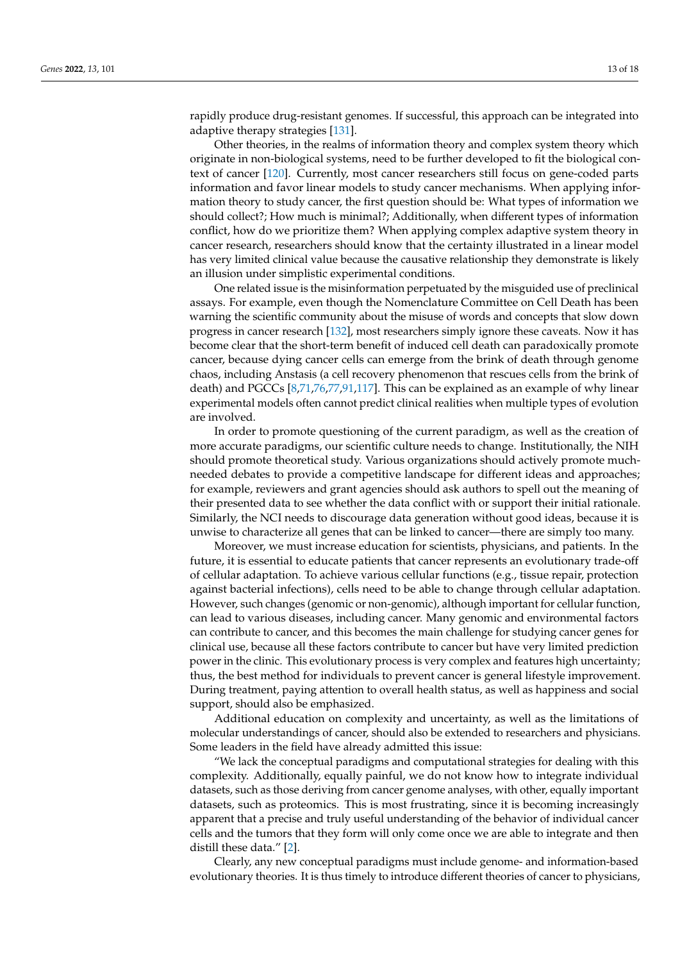rapidly produce drug-resistant genomes. If successful, this approach can be integrated into adaptive therapy strategies [\[131\]](#page-17-13).

Other theories, in the realms of information theory and complex system theory which originate in non-biological systems, need to be further developed to fit the biological context of cancer [\[120\]](#page-17-4). Currently, most cancer researchers still focus on gene-coded parts information and favor linear models to study cancer mechanisms. When applying information theory to study cancer, the first question should be: What types of information we should collect?; How much is minimal?; Additionally, when different types of information conflict, how do we prioritize them? When applying complex adaptive system theory in cancer research, researchers should know that the certainty illustrated in a linear model has very limited clinical value because the causative relationship they demonstrate is likely an illusion under simplistic experimental conditions.

One related issue is the misinformation perpetuated by the misguided use of preclinical assays. For example, even though the Nomenclature Committee on Cell Death has been warning the scientific community about the misuse of words and concepts that slow down progress in cancer research [\[132\]](#page-17-14), most researchers simply ignore these caveats. Now it has become clear that the short-term benefit of induced cell death can paradoxically promote cancer, because dying cancer cells can emerge from the brink of death through genome chaos, including Anstasis (a cell recovery phenomenon that rescues cells from the brink of death) and PGCCs [\[8](#page-13-7)[,71](#page-15-16)[,76](#page-15-21)[,77](#page-15-22)[,91](#page-16-4)[,117\]](#page-17-1). This can be explained as an example of why linear experimental models often cannot predict clinical realities when multiple types of evolution are involved.

In order to promote questioning of the current paradigm, as well as the creation of more accurate paradigms, our scientific culture needs to change. Institutionally, the NIH should promote theoretical study. Various organizations should actively promote muchneeded debates to provide a competitive landscape for different ideas and approaches; for example, reviewers and grant agencies should ask authors to spell out the meaning of their presented data to see whether the data conflict with or support their initial rationale. Similarly, the NCI needs to discourage data generation without good ideas, because it is unwise to characterize all genes that can be linked to cancer—there are simply too many.

Moreover, we must increase education for scientists, physicians, and patients. In the future, it is essential to educate patients that cancer represents an evolutionary trade-off of cellular adaptation. To achieve various cellular functions (e.g., tissue repair, protection against bacterial infections), cells need to be able to change through cellular adaptation. However, such changes (genomic or non-genomic), although important for cellular function, can lead to various diseases, including cancer. Many genomic and environmental factors can contribute to cancer, and this becomes the main challenge for studying cancer genes for clinical use, because all these factors contribute to cancer but have very limited prediction power in the clinic. This evolutionary process is very complex and features high uncertainty; thus, the best method for individuals to prevent cancer is general lifestyle improvement. During treatment, paying attention to overall health status, as well as happiness and social support, should also be emphasized.

Additional education on complexity and uncertainty, as well as the limitations of molecular understandings of cancer, should also be extended to researchers and physicians. Some leaders in the field have already admitted this issue:

"We lack the conceptual paradigms and computational strategies for dealing with this complexity. Additionally, equally painful, we do not know how to integrate individual datasets, such as those deriving from cancer genome analyses, with other, equally important datasets, such as proteomics. This is most frustrating, since it is becoming increasingly apparent that a precise and truly useful understanding of the behavior of individual cancer cells and the tumors that they form will only come once we are able to integrate and then distill these data." [\[2\]](#page-13-1).

Clearly, any new conceptual paradigms must include genome- and information-based evolutionary theories. It is thus timely to introduce different theories of cancer to physicians,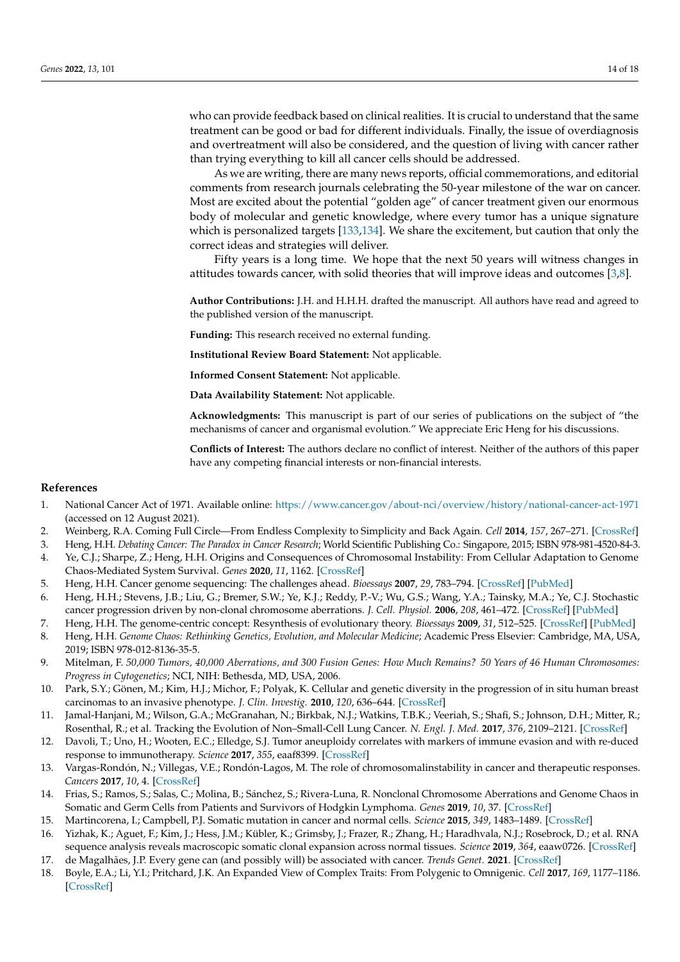who can provide feedback based on clinical realities. It is crucial to understand that the same treatment can be good or bad for different individuals. Finally, the issue of overdiagnosis and overtreatment will also be considered, and the question of living with cancer rather than trying everything to kill all cancer cells should be addressed.

As we are writing, there are many news reports, official commemorations, and editorial comments from research journals celebrating the 50-year milestone of the war on cancer. Most are excited about the potential "golden age" of cancer treatment given our enormous body of molecular and genetic knowledge, where every tumor has a unique signature which is personalized targets [\[133](#page-17-15)[,134\]](#page-17-16). We share the excitement, but caution that only the correct ideas and strategies will deliver.

Fifty years is a long time. We hope that the next 50 years will witness changes in attitudes towards cancer, with solid theories that will improve ideas and outcomes [\[3,](#page-13-2)[8\]](#page-13-7).

**Author Contributions:** J.H. and H.H.H. drafted the manuscript. All authors have read and agreed to the published version of the manuscript.

**Funding:** This research received no external funding.

**Institutional Review Board Statement:** Not applicable.

**Informed Consent Statement:** Not applicable.

**Data Availability Statement:** Not applicable.

**Acknowledgments:** This manuscript is part of our series of publications on the subject of "the mechanisms of cancer and organismal evolution." We appreciate Eric Heng for his discussions.

**Conflicts of Interest:** The authors declare no conflict of interest. Neither of the authors of this paper have any competing financial interests or non-financial interests.

## **References**

- <span id="page-13-0"></span>1. National Cancer Act of 1971. Available online: <https://www.cancer.gov/about-nci/overview/history/national-cancer-act-1971> (accessed on 12 August 2021).
- <span id="page-13-1"></span>2. Weinberg, R.A. Coming Full Circle—From Endless Complexity to Simplicity and Back Again. *Cell* **2014**, *157*, 267–271. [\[CrossRef\]](http://doi.org/10.1016/j.cell.2014.03.004)
- <span id="page-13-2"></span>3. Heng, H.H. *Debating Cancer: The Paradox in Cancer Research*; World Scientific Publishing Co.: Singapore, 2015; ISBN 978-981-4520-84-3.
- <span id="page-13-3"></span>4. Ye, C.J.; Sharpe, Z.; Heng, H.H. Origins and Consequences of Chromosomal Instability: From Cellular Adaptation to Genome Chaos-Mediated System Survival. *Genes* **2020**, *11*, 1162. [\[CrossRef\]](http://doi.org/10.3390/genes11101162)
- <span id="page-13-4"></span>5. Heng, H.H. Cancer genome sequencing: The challenges ahead. *Bioessays* **2007**, *29*, 783–794. [\[CrossRef\]](http://doi.org/10.1002/bies.20610) [\[PubMed\]](http://www.ncbi.nlm.nih.gov/pubmed/17621658)
- <span id="page-13-5"></span>6. Heng, H.H.; Stevens, J.B.; Liu, G.; Bremer, S.W.; Ye, K.J.; Reddy, P.-V.; Wu, G.S.; Wang, Y.A.; Tainsky, M.A.; Ye, C.J. Stochastic cancer progression driven by non-clonal chromosome aberrations. *J. Cell. Physiol.* **2006**, *208*, 461–472. [\[CrossRef\]](http://doi.org/10.1002/jcp.20685) [\[PubMed\]](http://www.ncbi.nlm.nih.gov/pubmed/16688757)
- <span id="page-13-6"></span>7. Heng, H.H. The genome-centric concept: Resynthesis of evolutionary theory. *Bioessays* **2009**, *31*, 512–525. [\[CrossRef\]](http://doi.org/10.1002/bies.200800182) [\[PubMed\]](http://www.ncbi.nlm.nih.gov/pubmed/19334004)
- <span id="page-13-7"></span>8. Heng, H.H. *Genome Chaos: Rethinking Genetics, Evolution, and Molecular Medicine*; Academic Press Elsevier: Cambridge, MA, USA, 2019; ISBN 978-012-8136-35-5.
- <span id="page-13-8"></span>9. Mitelman, F. *50,000 Tumors, 40,000 Aberrations, and 300 Fusion Genes: How Much Remains? 50 Years of 46 Human Chromosomes: Progress in Cytogenetics*; NCI, NIH: Bethesda, MD, USA, 2006.
- <span id="page-13-9"></span>10. Park, S.Y.; Gönen, M.; Kim, H.J.; Michor, F.; Polyak, K. Cellular and genetic diversity in the progression of in situ human breast carcinomas to an invasive phenotype. *J. Clin. Investig.* **2010**, *120*, 636–644. [\[CrossRef\]](http://doi.org/10.1172/JCI40724)
- 11. Jamal-Hanjani, M.; Wilson, G.A.; McGranahan, N.; Birkbak, N.J.; Watkins, T.B.K.; Veeriah, S.; Shafi, S.; Johnson, D.H.; Mitter, R.; Rosenthal, R.; et al. Tracking the Evolution of Non–Small-Cell Lung Cancer. *N. Engl. J. Med.* **2017**, *376*, 2109–2121. [\[CrossRef\]](http://doi.org/10.1056/NEJMoa1616288)
- 12. Davoli, T.; Uno, H.; Wooten, E.C.; Elledge, S.J. Tumor aneuploidy correlates with markers of immune evasion and with re-duced response to immunotherapy. *Science* **2017**, *355*, eaaf8399. [\[CrossRef\]](http://doi.org/10.1126/science.aaf8399)
- 13. Vargas-Rondón, N.; Villegas, V.E.; Rondón-Lagos, M. The role of chromosomalinstability in cancer and therapeutic responses. *Cancers* **2017**, *10*, 4. [\[CrossRef\]](http://doi.org/10.3390/cancers10010004)
- <span id="page-13-10"></span>14. Frias, S.; Ramos, S.; Salas, C.; Molina, B.; Sánchez, S.; Rivera-Luna, R. Nonclonal Chromosome Aberrations and Genome Chaos in Somatic and Germ Cells from Patients and Survivors of Hodgkin Lymphoma. *Genes* **2019**, *10*, 37. [\[CrossRef\]](http://doi.org/10.3390/genes10010037)
- <span id="page-13-11"></span>15. Martincorena, I.; Campbell, P.J. Somatic mutation in cancer and normal cells. *Science* **2015**, *349*, 1483–1489. [\[CrossRef\]](http://doi.org/10.1126/science.aab4082)
- <span id="page-13-12"></span>16. Yizhak, K.; Aguet, F.; Kim, J.; Hess, J.M.; Kübler, K.; Grimsby, J.; Frazer, R.; Zhang, H.; Haradhvala, N.J.; Rosebrock, D.; et al. RNA sequence analysis reveals macroscopic somatic clonal expansion across normal tissues. *Science* **2019**, *364*, eaaw0726. [\[CrossRef\]](http://doi.org/10.1126/science.aaw0726)
- <span id="page-13-13"></span>17. de Magalhães, J.P. Every gene can (and possibly will) be associated with cancer. *Trends Genet.* **2021**. [\[CrossRef\]](http://doi.org/10.1016/j.tig.2021.09.005)
- <span id="page-13-14"></span>18. Boyle, E.A.; Li, Y.I.; Pritchard, J.K. An Expanded View of Complex Traits: From Polygenic to Omnigenic. *Cell* **2017**, *169*, 1177–1186. [\[CrossRef\]](http://doi.org/10.1016/j.cell.2017.05.038)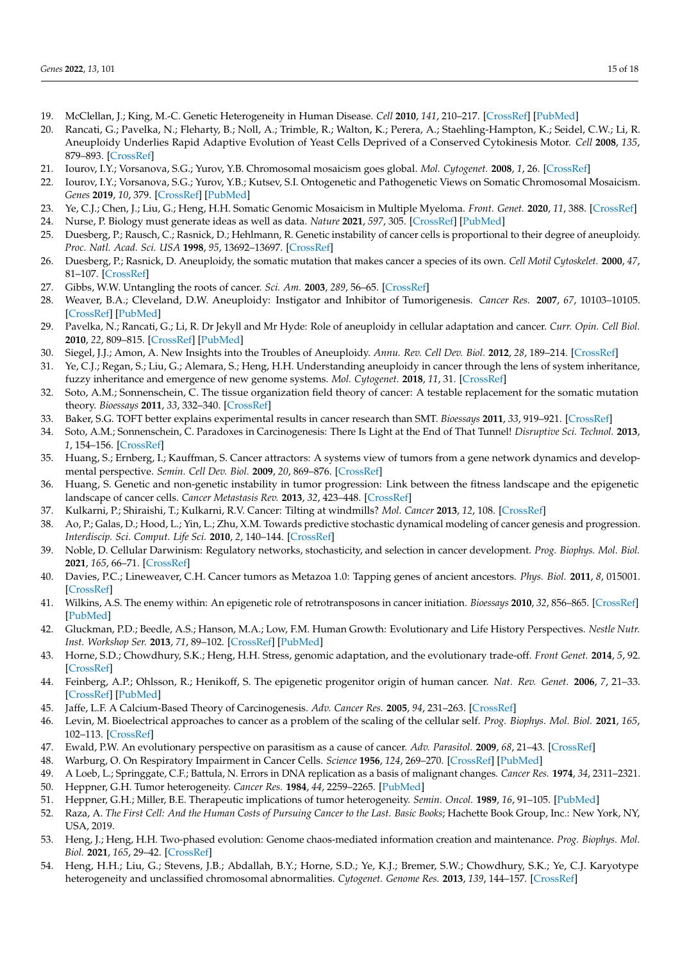- <span id="page-14-0"></span>19. McClellan, J.; King, M.-C. Genetic Heterogeneity in Human Disease. *Cell* **2010**, *141*, 210–217. [\[CrossRef\]](http://doi.org/10.1016/j.cell.2010.03.032) [\[PubMed\]](http://www.ncbi.nlm.nih.gov/pubmed/20403315)
- <span id="page-14-1"></span>20. Rancati, G.; Pavelka, N.; Fleharty, B.; Noll, A.; Trimble, R.; Walton, K.; Perera, A.; Staehling-Hampton, K.; Seidel, C.W.; Li, R. Aneuploidy Underlies Rapid Adaptive Evolution of Yeast Cells Deprived of a Conserved Cytokinesis Motor. *Cell* **2008**, *135*, 879–893. [\[CrossRef\]](http://doi.org/10.1016/j.cell.2008.09.039)
- <span id="page-14-2"></span>21. Iourov, I.Y.; Vorsanova, S.G.; Yurov, Y.B. Chromosomal mosaicism goes global. *Mol. Cytogenet.* **2008**, *1*, 26. [\[CrossRef\]](http://doi.org/10.1186/1755-8166-1-26)
- 22. Iourov, I.Y.; Vorsanova, S.G.; Yurov, Y.B.; Kutsev, S.I. Ontogenetic and Pathogenetic Views on Somatic Chromosomal Mosaicism. *Genes* **2019**, *10*, 379. [\[CrossRef\]](http://doi.org/10.3390/genes10050379) [\[PubMed\]](http://www.ncbi.nlm.nih.gov/pubmed/31109140)
- <span id="page-14-3"></span>23. Ye, C.J.; Chen, J.; Liu, G.; Heng, H.H. Somatic Genomic Mosaicism in Multiple Myeloma. *Front. Genet.* **2020**, *11*, 388. [\[CrossRef\]](http://doi.org/10.3389/fgene.2020.00388)
- <span id="page-14-4"></span>24. Nurse, P. Biology must generate ideas as well as data. *Nature* **2021**, *597*, 305. [\[CrossRef\]](http://doi.org/10.1038/d41586-021-02480-z) [\[PubMed\]](http://www.ncbi.nlm.nih.gov/pubmed/34522015)
- <span id="page-14-5"></span>25. Duesberg, P.; Rausch, C.; Rasnick, D.; Hehlmann, R. Genetic instability of cancer cells is proportional to their degree of aneuploidy. *Proc. Natl. Acad. Sci. USA* **1998**, *95*, 13692–13697. [\[CrossRef\]](http://doi.org/10.1073/pnas.95.23.13692)
- <span id="page-14-6"></span>26. Duesberg, P.; Rasnick, D. Aneuploidy, the somatic mutation that makes cancer a species of its own. *Cell Motil Cytoskelet.* **2000**, *47*, 81–107. [\[CrossRef\]](http://doi.org/10.1002/1097-0169(200010)47:2<81::AID-CM1>3.0.CO;2-)
- <span id="page-14-7"></span>27. Gibbs, W.W. Untangling the roots of cancer. *Sci. Am.* **2003**, *289*, 56–65. [\[CrossRef\]](http://doi.org/10.1038/scientificamerican0703-56)
- <span id="page-14-8"></span>28. Weaver, B.A.; Cleveland, D.W. Aneuploidy: Instigator and Inhibitor of Tumorigenesis. *Cancer Res.* **2007**, *67*, 10103–10105. [\[CrossRef\]](http://doi.org/10.1158/0008-5472.CAN-07-2266) [\[PubMed\]](http://www.ncbi.nlm.nih.gov/pubmed/17974949)
- <span id="page-14-9"></span>29. Pavelka, N.; Rancati, G.; Li, R. Dr Jekyll and Mr Hyde: Role of aneuploidy in cellular adaptation and cancer. *Curr. Opin. Cell Biol.* **2010**, *22*, 809–815. [\[CrossRef\]](http://doi.org/10.1016/j.ceb.2010.06.003) [\[PubMed\]](http://www.ncbi.nlm.nih.gov/pubmed/20655187)
- <span id="page-14-10"></span>30. Siegel, J.J.; Amon, A. New Insights into the Troubles of Aneuploidy. *Annu. Rev. Cell Dev. Biol.* **2012**, *28*, 189–214. [\[CrossRef\]](http://doi.org/10.1146/annurev-cellbio-101011-155807)
- <span id="page-14-11"></span>31. Ye, C.J.; Regan, S.; Liu, G.; Alemara, S.; Heng, H.H. Understanding aneuploidy in cancer through the lens of system inheritance, fuzzy inheritance and emergence of new genome systems. *Mol. Cytogenet.* **2018**, *11*, 31. [\[CrossRef\]](http://doi.org/10.1186/s13039-018-0376-2)
- <span id="page-14-12"></span>32. Soto, A.M.; Sonnenschein, C. The tissue organization field theory of cancer: A testable replacement for the somatic mutation theory. *Bioessays* **2011**, *33*, 332–340. [\[CrossRef\]](http://doi.org/10.1002/bies.201100025)
- <span id="page-14-13"></span>33. Baker, S.G. TOFT better explains experimental results in cancer research than SMT. *Bioessays* **2011**, *33*, 919–921. [\[CrossRef\]](http://doi.org/10.1002/bies.201100124)
- <span id="page-14-14"></span>34. Soto, A.M.; Sonnenschein, C. Paradoxes in Carcinogenesis: There Is Light at the End of That Tunnel! *Disruptive Sci. Technol.* **2013**, *1*, 154–156. [\[CrossRef\]](http://doi.org/10.1089/dst.2013.0008)
- <span id="page-14-15"></span>35. Huang, S.; Ernberg, I.; Kauffman, S. Cancer attractors: A systems view of tumors from a gene network dynamics and developmental perspective. *Semin. Cell Dev. Biol.* **2009**, *20*, 869–876. [\[CrossRef\]](http://doi.org/10.1016/j.semcdb.2009.07.003)
- <span id="page-14-16"></span>36. Huang, S. Genetic and non-genetic instability in tumor progression: Link between the fitness landscape and the epigenetic landscape of cancer cells. *Cancer Metastasis Rev.* **2013**, *32*, 423–448. [\[CrossRef\]](http://doi.org/10.1007/s10555-013-9435-7)
- <span id="page-14-17"></span>37. Kulkarni, P.; Shiraishi, T.; Kulkarni, R.V. Cancer: Tilting at windmills? *Mol. Cancer* **2013**, *12*, 108. [\[CrossRef\]](http://doi.org/10.1186/1476-4598-12-108)
- <span id="page-14-18"></span>38. Ao, P.; Galas, D.; Hood, L.; Yin, L.; Zhu, X.M. Towards predictive stochastic dynamical modeling of cancer genesis and progression. *Interdiscip. Sci. Comput. Life Sci.* **2010**, *2*, 140–144. [\[CrossRef\]](http://doi.org/10.1007/s12539-010-0072-3)
- <span id="page-14-19"></span>39. Noble, D. Cellular Darwinism: Regulatory networks, stochasticity, and selection in cancer development. *Prog. Biophys. Mol. Biol.* **2021**, *165*, 66–71. [\[CrossRef\]](http://doi.org/10.1016/j.pbiomolbio.2021.06.007)
- <span id="page-14-20"></span>40. Davies, P.C.; Lineweaver, C.H. Cancer tumors as Metazoa 1.0: Tapping genes of ancient ancestors. *Phys. Biol.* **2011**, *8*, 015001. [\[CrossRef\]](http://doi.org/10.1088/1478-3975/8/1/015001)
- <span id="page-14-21"></span>41. Wilkins, A.S. The enemy within: An epigenetic role of retrotransposons in cancer initiation. *Bioessays* **2010**, *32*, 856–865. [\[CrossRef\]](http://doi.org/10.1002/bies.201000008) [\[PubMed\]](http://www.ncbi.nlm.nih.gov/pubmed/20715060)
- <span id="page-14-22"></span>42. Gluckman, P.D.; Beedle, A.S.; Hanson, M.A.; Low, F.M. Human Growth: Evolutionary and Life History Perspectives. *Nestle Nutr. Inst. Workshop Ser.* **2013**, *71*, 89–102. [\[CrossRef\]](http://doi.org/10.1159/000342572) [\[PubMed\]](http://www.ncbi.nlm.nih.gov/pubmed/23502143)
- <span id="page-14-23"></span>43. Horne, S.D.; Chowdhury, S.K.; Heng, H.H. Stress, genomic adaptation, and the evolutionary trade-off. *Front Genet.* **2014**, *5*, 92. [\[CrossRef\]](http://doi.org/10.3389/fgene.2014.00092)
- <span id="page-14-24"></span>44. Feinberg, A.P.; Ohlsson, R.; Henikoff, S. The epigenetic progenitor origin of human cancer. *Nat. Rev. Genet.* **2006**, *7*, 21–33. [\[CrossRef\]](http://doi.org/10.1038/nrg1748) [\[PubMed\]](http://www.ncbi.nlm.nih.gov/pubmed/16369569)
- <span id="page-14-25"></span>45. Jaffe, L.F. A Calcium-Based Theory of Carcinogenesis. *Adv. Cancer Res.* **2005**, *94*, 231–263. [\[CrossRef\]](http://doi.org/10.1016/s0065-230x(05)94006-2)
- <span id="page-14-26"></span>46. Levin, M. Bioelectrical approaches to cancer as a problem of the scaling of the cellular self. *Prog. Biophys. Mol. Biol.* **2021**, *165*, 102–113. [\[CrossRef\]](http://doi.org/10.1016/j.pbiomolbio.2021.04.007)
- <span id="page-14-27"></span>47. Ewald, P.W. An evolutionary perspective on parasitism as a cause of cancer. *Adv. Parasitol.* **2009**, *68*, 21–43. [\[CrossRef\]](http://doi.org/10.1016/s0065-308x(08)00602-7)
- <span id="page-14-28"></span>48. Warburg, O. On Respiratory Impairment in Cancer Cells. *Science* **1956**, *124*, 269–270. [\[CrossRef\]](http://doi.org/10.1126/science.124.3215.269) [\[PubMed\]](http://www.ncbi.nlm.nih.gov/pubmed/13351639)
- <span id="page-14-30"></span><span id="page-14-29"></span>49. A Loeb, L.; Springgate, C.F.; Battula, N. Errors in DNA replication as a basis of malignant changes. *Cancer Res.* **1974**, *34*, 2311–2321.
- 50. Heppner, G.H. Tumor heterogeneity. *Cancer Res.* **1984**, *44*, 2259–2265. [\[PubMed\]](http://www.ncbi.nlm.nih.gov/pubmed/6372991)
- <span id="page-14-32"></span><span id="page-14-31"></span>51. Heppner, G.H.; Miller, B.E. Therapeutic implications of tumor heterogeneity. *Semin. Oncol.* **1989**, *16*, 91–105. [\[PubMed\]](http://www.ncbi.nlm.nih.gov/pubmed/2652316)
- 52. Raza, A. *The First Cell: And the Human Costs of Pursuing Cancer to the Last. Basic Books*; Hachette Book Group, Inc.: New York, NY, USA, 2019.
- <span id="page-14-33"></span>53. Heng, J.; Heng, H.H. Two-phased evolution: Genome chaos-mediated information creation and maintenance. *Prog. Biophys. Mol. Biol.* **2021**, *165*, 29–42. [\[CrossRef\]](http://doi.org/10.1016/j.pbiomolbio.2021.04.003)
- <span id="page-14-34"></span>54. Heng, H.H.; Liu, G.; Stevens, J.B.; Abdallah, B.Y.; Horne, S.D.; Ye, K.J.; Bremer, S.W.; Chowdhury, S.K.; Ye, C.J. Karyotype heterogeneity and unclassified chromosomal abnormalities. *Cytogenet. Genome Res.* **2013**, *139*, 144–157. [\[CrossRef\]](http://doi.org/10.1159/000348682)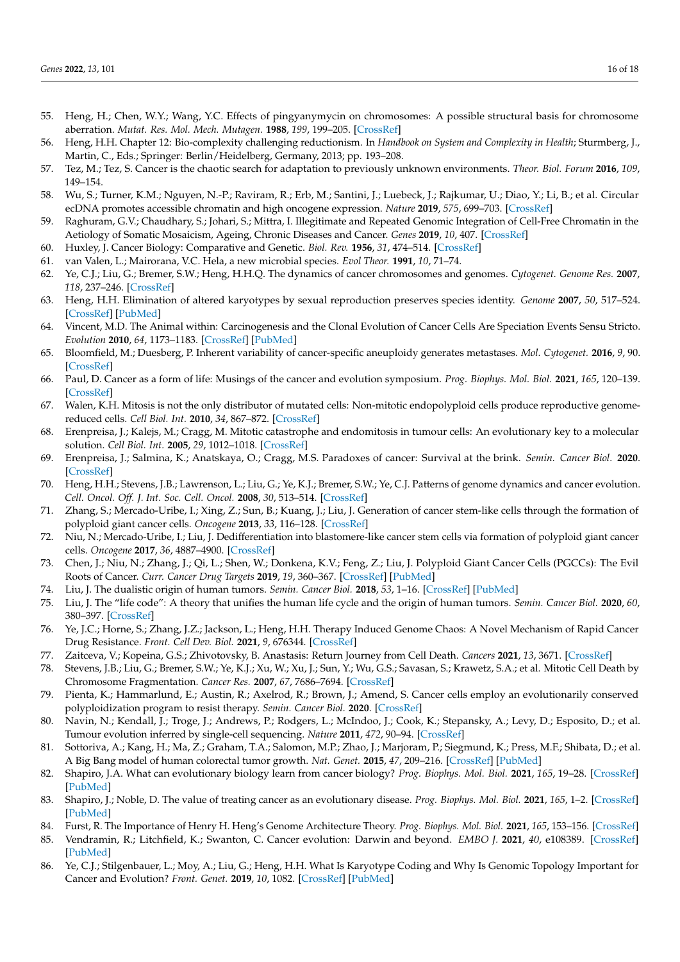- <span id="page-15-0"></span>55. Heng, H.; Chen, W.Y.; Wang, Y.C. Effects of pingyanymycin on chromosomes: A possible structural basis for chromosome aberration. *Mutat. Res. Mol. Mech. Mutagen.* **1988**, *199*, 199–205. [\[CrossRef\]](http://doi.org/10.1016/0027-5107(88)90246-1)
- <span id="page-15-1"></span>56. Heng, H.H. Chapter 12: Bio-complexity challenging reductionism. In *Handbook on System and Complexity in Health*; Sturmberg, J., Martin, C., Eds.; Springer: Berlin/Heidelberg, Germany, 2013; pp. 193–208.
- <span id="page-15-2"></span>57. Tez, M.; Tez, S. Cancer is the chaotic search for adaptation to previously unknown environments. *Theor. Biol. Forum* **2016**, *109*, 149–154.
- <span id="page-15-3"></span>58. Wu, S.; Turner, K.M.; Nguyen, N.-P.; Raviram, R.; Erb, M.; Santini, J.; Luebeck, J.; Rajkumar, U.; Diao, Y.; Li, B.; et al. Circular ecDNA promotes accessible chromatin and high oncogene expression. *Nature* **2019**, *575*, 699–703. [\[CrossRef\]](http://doi.org/10.1038/s41586-019-1763-5)
- <span id="page-15-4"></span>59. Raghuram, G.V.; Chaudhary, S.; Johari, S.; Mittra, I. Illegitimate and Repeated Genomic Integration of Cell-Free Chromatin in the Aetiology of Somatic Mosaicism, Ageing, Chronic Diseases and Cancer. *Genes* **2019**, *10*, 407. [\[CrossRef\]](http://doi.org/10.3390/genes10060407)
- <span id="page-15-5"></span>60. Huxley, J. Cancer Biology: Comparative and Genetic. *Biol. Rev.* **1956**, *31*, 474–514. [\[CrossRef\]](http://doi.org/10.1111/j.1469-185X.1956.tb01558.x)
- <span id="page-15-6"></span>61. van Valen, L.; Mairorana, V.C. Hela, a new microbial species. *Evol Theor.* **1991**, *10*, 71–74.
- <span id="page-15-7"></span>62. Ye, C.J.; Liu, G.; Bremer, S.W.; Heng, H.H.Q. The dynamics of cancer chromosomes and genomes. *Cytogenet. Genome Res.* **2007**, *118*, 237–246. [\[CrossRef\]](http://doi.org/10.1159/000108306)
- <span id="page-15-8"></span>63. Heng, H.H. Elimination of altered karyotypes by sexual reproduction preserves species identity. *Genome* **2007**, *50*, 517–524. [\[CrossRef\]](http://doi.org/10.1139/G07-039) [\[PubMed\]](http://www.ncbi.nlm.nih.gov/pubmed/17612621)
- <span id="page-15-9"></span>64. Vincent, M.D. The Animal within: Carcinogenesis and the Clonal Evolution of Cancer Cells Are Speciation Events Sensu Stricto. *Evolution* **2010**, *64*, 1173–1183. [\[CrossRef\]](http://doi.org/10.1111/j.1558-5646.2009.00942.x) [\[PubMed\]](http://www.ncbi.nlm.nih.gov/pubmed/20059538)
- <span id="page-15-10"></span>65. Bloomfield, M.; Duesberg, P. Inherent variability of cancer-specific aneuploidy generates metastases. *Mol. Cytogenet.* **2016**, *9*, 90. [\[CrossRef\]](http://doi.org/10.1186/s13039-016-0297-x)
- <span id="page-15-11"></span>66. Paul, D. Cancer as a form of life: Musings of the cancer and evolution symposium. *Prog. Biophys. Mol. Biol.* **2021**, *165*, 120–139. [\[CrossRef\]](http://doi.org/10.1016/j.pbiomolbio.2021.05.003)
- <span id="page-15-12"></span>67. Walen, K.H. Mitosis is not the only distributor of mutated cells: Non-mitotic endopolyploid cells produce reproductive genomereduced cells. *Cell Biol. Int.* **2010**, *34*, 867–872. [\[CrossRef\]](http://doi.org/10.1042/CBI20090502)
- <span id="page-15-13"></span>68. Erenpreisa, J.; Kalejs, M.; Cragg, M. Mitotic catastrophe and endomitosis in tumour cells: An evolutionary key to a molecular solution. *Cell Biol. Int.* **2005**, *29*, 1012–1018. [\[CrossRef\]](http://doi.org/10.1016/j.cellbi.2005.10.005)
- <span id="page-15-14"></span>69. Erenpreisa, J.; Salmina, K.; Anatskaya, O.; Cragg, M.S. Paradoxes of cancer: Survival at the brink. *Semin. Cancer Biol.* **2020**. [\[CrossRef\]](http://doi.org/10.1016/j.semcancer.2020.12.009)
- <span id="page-15-15"></span>70. Heng, H.H.; Stevens, J.B.; Lawrenson, L.; Liu, G.; Ye, K.J.; Bremer, S.W.; Ye, C.J. Patterns of genome dynamics and cancer evolution. *Cell. Oncol. Off. J. Int. Soc. Cell. Oncol.* **2008**, *30*, 513–514. [\[CrossRef\]](http://doi.org/10.1155/2008/267326)
- <span id="page-15-16"></span>71. Zhang, S.; Mercado-Uribe, I.; Xing, Z.; Sun, B.; Kuang, J.; Liu, J. Generation of cancer stem-like cells through the formation of polyploid giant cancer cells. *Oncogene* **2013**, *33*, 116–128. [\[CrossRef\]](http://doi.org/10.1038/onc.2013.96)
- <span id="page-15-17"></span>72. Niu, N.; Mercado-Uribe, I.; Liu, J. Dedifferentiation into blastomere-like cancer stem cells via formation of polyploid giant cancer cells. *Oncogene* **2017**, *36*, 4887–4900. [\[CrossRef\]](http://doi.org/10.1038/onc.2017.72)
- <span id="page-15-18"></span>73. Chen, J.; Niu, N.; Zhang, J.; Qi, L.; Shen, W.; Donkena, K.V.; Feng, Z.; Liu, J. Polyploid Giant Cancer Cells (PGCCs): The Evil Roots of Cancer. *Curr. Cancer Drug Targets* **2019**, *19*, 360–367. [\[CrossRef\]](http://doi.org/10.2174/1568009618666180703154233) [\[PubMed\]](http://www.ncbi.nlm.nih.gov/pubmed/29968537)
- <span id="page-15-19"></span>74. Liu, J. The dualistic origin of human tumors. *Semin. Cancer Biol.* **2018**, *53*, 1–16. [\[CrossRef\]](http://doi.org/10.1016/j.semcancer.2018.07.004) [\[PubMed\]](http://www.ncbi.nlm.nih.gov/pubmed/30040989)
- <span id="page-15-20"></span>75. Liu, J. The "life code": A theory that unifies the human life cycle and the origin of human tumors. *Semin. Cancer Biol.* **2020**, *60*, 380–397. [\[CrossRef\]](http://doi.org/10.1016/j.semcancer.2019.09.005)
- <span id="page-15-21"></span>76. Ye, J.C.; Horne, S.; Zhang, J.Z.; Jackson, L.; Heng, H.H. Therapy Induced Genome Chaos: A Novel Mechanism of Rapid Cancer Drug Resistance. *Front. Cell Dev. Biol.* **2021**, *9*, 676344. [\[CrossRef\]](http://doi.org/10.3389/fcell.2021.676344)
- <span id="page-15-22"></span>77. Zaitceva, V.; Kopeina, G.S.; Zhivotovsky, B. Anastasis: Return Journey from Cell Death. *Cancers* **2021**, *13*, 3671. [\[CrossRef\]](http://doi.org/10.3390/cancers13153671)
- <span id="page-15-23"></span>78. Stevens, J.B.; Liu, G.; Bremer, S.W.; Ye, K.J.; Xu, W.; Xu, J.; Sun, Y.; Wu, G.S.; Savasan, S.; Krawetz, S.A.; et al. Mitotic Cell Death by Chromosome Fragmentation. *Cancer Res.* **2007**, *67*, 7686–7694. [\[CrossRef\]](http://doi.org/10.1158/0008-5472.CAN-07-0472)
- <span id="page-15-24"></span>79. Pienta, K.; Hammarlund, E.; Austin, R.; Axelrod, R.; Brown, J.; Amend, S. Cancer cells employ an evolutionarily conserved polyploidization program to resist therapy. *Semin. Cancer Biol.* **2020**. [\[CrossRef\]](http://doi.org/10.1016/j.semcancer.2020.11.016)
- <span id="page-15-25"></span>80. Navin, N.; Kendall, J.; Troge, J.; Andrews, P.; Rodgers, L.; McIndoo, J.; Cook, K.; Stepansky, A.; Levy, D.; Esposito, D.; et al. Tumour evolution inferred by single-cell sequencing. *Nature* **2011**, *472*, 90–94. [\[CrossRef\]](http://doi.org/10.1038/nature09807)
- <span id="page-15-26"></span>81. Sottoriva, A.; Kang, H.; Ma, Z.; Graham, T.A.; Salomon, M.P.; Zhao, J.; Marjoram, P.; Siegmund, K.; Press, M.F.; Shibata, D.; et al. A Big Bang model of human colorectal tumor growth. *Nat. Genet.* **2015**, *47*, 209–216. [\[CrossRef\]](http://doi.org/10.1038/ng.3214) [\[PubMed\]](http://www.ncbi.nlm.nih.gov/pubmed/25665006)
- <span id="page-15-27"></span>82. Shapiro, J.A. What can evolutionary biology learn from cancer biology? *Prog. Biophys. Mol. Biol.* **2021**, *165*, 19–28. [\[CrossRef\]](http://doi.org/10.1016/j.pbiomolbio.2021.03.005) [\[PubMed\]](http://www.ncbi.nlm.nih.gov/pubmed/33930405)
- <span id="page-15-28"></span>83. Shapiro, J.; Noble, D. The value of treating cancer as an evolutionary disease. *Prog. Biophys. Mol. Biol.* **2021**, *165*, 1–2. [\[CrossRef\]](http://doi.org/10.1016/j.pbiomolbio.2021.08.010) [\[PubMed\]](http://www.ncbi.nlm.nih.gov/pubmed/34419531)
- <span id="page-15-29"></span>84. Furst, R. The Importance of Henry H. Heng's Genome Architecture Theory. *Prog. Biophys. Mol. Biol.* **2021**, *165*, 153–156. [\[CrossRef\]](http://doi.org/10.1016/j.pbiomolbio.2021.08.009)
- <span id="page-15-30"></span>85. Vendramin, R.; Litchfield, K.; Swanton, C. Cancer evolution: Darwin and beyond. *EMBO J.* **2021**, *40*, e108389. [\[CrossRef\]](http://doi.org/10.15252/embj.2021108389) [\[PubMed\]](http://www.ncbi.nlm.nih.gov/pubmed/34459009)
- <span id="page-15-31"></span>86. Ye, C.J.; Stilgenbauer, L.; Moy, A.; Liu, G.; Heng, H.H. What Is Karyotype Coding and Why Is Genomic Topology Important for Cancer and Evolution? *Front. Genet.* **2019**, *10*, 1082. [\[CrossRef\]](http://doi.org/10.3389/fgene.2019.01082) [\[PubMed\]](http://www.ncbi.nlm.nih.gov/pubmed/31737054)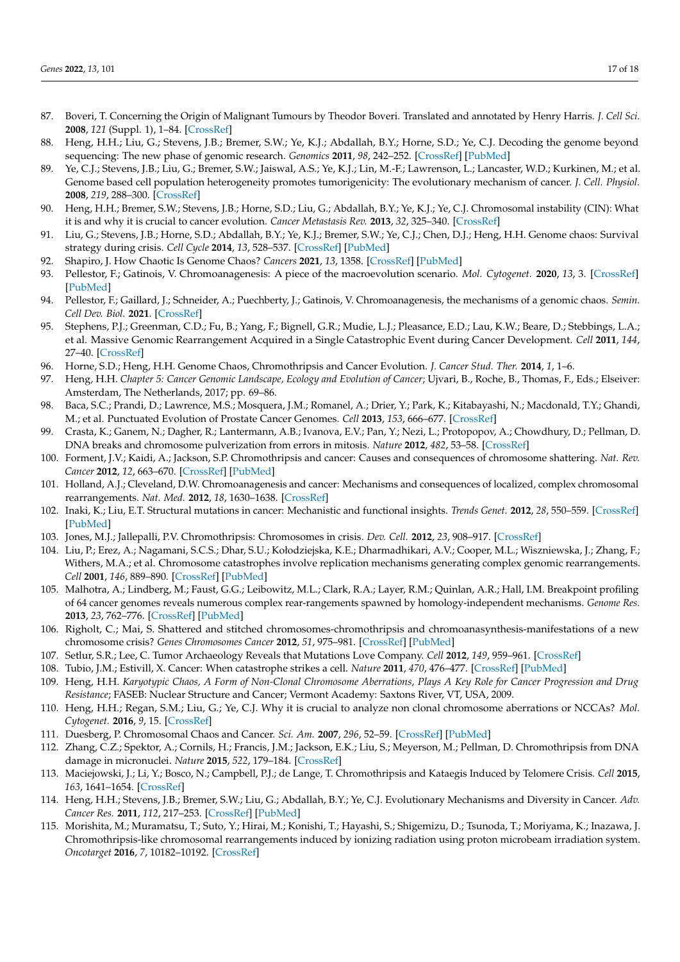- <span id="page-16-0"></span>87. Boveri, T. Concerning the Origin of Malignant Tumours by Theodor Boveri. Translated and annotated by Henry Harris. *J. Cell Sci.* **2008**, *121* (Suppl. 1), 1–84. [\[CrossRef\]](http://doi.org/10.1242/jcs.025742)
- <span id="page-16-1"></span>88. Heng, H.H.; Liu, G.; Stevens, J.B.; Bremer, S.W.; Ye, K.J.; Abdallah, B.Y.; Horne, S.D.; Ye, C.J. Decoding the genome beyond sequencing: The new phase of genomic research. *Genomics* **2011**, *98*, 242–252. [\[CrossRef\]](http://doi.org/10.1016/j.ygeno.2011.05.008) [\[PubMed\]](http://www.ncbi.nlm.nih.gov/pubmed/21640814)
- <span id="page-16-2"></span>89. Ye, C.J.; Stevens, J.B.; Liu, G.; Bremer, S.W.; Jaiswal, A.S.; Ye, K.J.; Lin, M.-F.; Lawrenson, L.; Lancaster, W.D.; Kurkinen, M.; et al. Genome based cell population heterogeneity promotes tumorigenicity: The evolutionary mechanism of cancer. *J. Cell. Physiol.* **2008**, *219*, 288–300. [\[CrossRef\]](http://doi.org/10.1002/jcp.21663)
- <span id="page-16-3"></span>90. Heng, H.H.; Bremer, S.W.; Stevens, J.B.; Horne, S.D.; Liu, G.; Abdallah, B.Y.; Ye, K.J.; Ye, C.J. Chromosomal instability (CIN): What it is and why it is crucial to cancer evolution. *Cancer Metastasis Rev.* **2013**, *32*, 325–340. [\[CrossRef\]](http://doi.org/10.1007/s10555-013-9427-7)
- <span id="page-16-4"></span>91. Liu, G.; Stevens, J.B.; Horne, S.D.; Abdallah, B.Y.; Ye, K.J.; Bremer, S.W.; Ye, C.J.; Chen, D.J.; Heng, H.H. Genome chaos: Survival strategy during crisis. *Cell Cycle* **2014**, *13*, 528–537. [\[CrossRef\]](http://doi.org/10.4161/cc.27378) [\[PubMed\]](http://www.ncbi.nlm.nih.gov/pubmed/24299711)
- <span id="page-16-5"></span>92. Shapiro, J. How Chaotic Is Genome Chaos? *Cancers* **2021**, *13*, 1358. [\[CrossRef\]](http://doi.org/10.3390/cancers13061358) [\[PubMed\]](http://www.ncbi.nlm.nih.gov/pubmed/33802828)
- 93. Pellestor, F.; Gatinois, V. Chromoanagenesis: A piece of the macroevolution scenario. *Mol. Cytogenet.* **2020**, *13*, 3. [\[CrossRef\]](http://doi.org/10.1186/s13039-020-0470-0) [\[PubMed\]](http://www.ncbi.nlm.nih.gov/pubmed/32010222)
- <span id="page-16-6"></span>94. Pellestor, F.; Gaillard, J.; Schneider, A.; Puechberty, J.; Gatinois, V. Chromoanagenesis, the mechanisms of a genomic chaos. *Semin. Cell Dev. Biol.* **2021**. [\[CrossRef\]](http://doi.org/10.1016/j.semcdb.2021.01.004)
- <span id="page-16-7"></span>95. Stephens, P.J.; Greenman, C.D.; Fu, B.; Yang, F.; Bignell, G.R.; Mudie, L.J.; Pleasance, E.D.; Lau, K.W.; Beare, D.; Stebbings, L.A.; et al. Massive Genomic Rearrangement Acquired in a Single Catastrophic Event during Cancer Development. *Cell* **2011**, *144*, 27–40. [\[CrossRef\]](http://doi.org/10.1016/j.cell.2010.11.055)
- 96. Horne, S.D.; Heng, H.H. Genome Chaos, Chromothripsis and Cancer Evolution. *J. Cancer Stud. Ther.* **2014**, *1*, 1–6.
- <span id="page-16-8"></span>97. Heng, H.H. *Chapter 5: Cancer Genomic Landscape, Ecology and Evolution of Cancer*; Ujvari, B., Roche, B., Thomas, F., Eds.; Elseiver: Amsterdam, The Netherlands, 2017; pp. 69–86.
- <span id="page-16-9"></span>98. Baca, S.C.; Prandi, D.; Lawrence, M.S.; Mosquera, J.M.; Romanel, A.; Drier, Y.; Park, K.; Kitabayashi, N.; Macdonald, T.Y.; Ghandi, M.; et al. Punctuated Evolution of Prostate Cancer Genomes. *Cell* **2013**, *153*, 666–677. [\[CrossRef\]](http://doi.org/10.1016/j.cell.2013.03.021)
- 99. Crasta, K.; Ganem, N.; Dagher, R.; Lantermann, A.B.; Ivanova, E.V.; Pan, Y.; Nezi, L.; Protopopov, A.; Chowdhury, D.; Pellman, D. DNA breaks and chromosome pulverization from errors in mitosis. *Nature* **2012**, *482*, 53–58. [\[CrossRef\]](http://doi.org/10.1038/nature10802)
- 100. Forment, J.V.; Kaidi, A.; Jackson, S.P. Chromothripsis and cancer: Causes and consequences of chromosome shattering. *Nat. Rev. Cancer* **2012**, *12*, 663–670. [\[CrossRef\]](http://doi.org/10.1038/nrc3352) [\[PubMed\]](http://www.ncbi.nlm.nih.gov/pubmed/22972457)
- 101. Holland, A.J.; Cleveland, D.W. Chromoanagenesis and cancer: Mechanisms and consequences of localized, complex chromosomal rearrangements. *Nat. Med.* **2012**, *18*, 1630–1638. [\[CrossRef\]](http://doi.org/10.1038/nm.2988)
- 102. Inaki, K.; Liu, E.T. Structural mutations in cancer: Mechanistic and functional insights. *Trends Genet.* **2012**, *28*, 550–559. [\[CrossRef\]](http://doi.org/10.1016/j.tig.2012.07.002) [\[PubMed\]](http://www.ncbi.nlm.nih.gov/pubmed/22901976)
- 103. Jones, M.J.; Jallepalli, P.V. Chromothripsis: Chromosomes in crisis. *Dev. Cell.* **2012**, *23*, 908–917. [\[CrossRef\]](http://doi.org/10.1016/j.devcel.2012.10.010)
- 104. Liu, P.; Erez, A.; Nagamani, S.C.S.; Dhar, S.U.; Kołodziejska, K.E.; Dharmadhikari, A.V.; Cooper, M.L.; Wiszniewska, J.; Zhang, F.; Withers, M.A.; et al. Chromosome catastrophes involve replication mechanisms generating complex genomic rearrangements. *Cell* **2001**, *146*, 889–890. [\[CrossRef\]](http://doi.org/10.1016/j.cell.2011.07.042) [\[PubMed\]](http://www.ncbi.nlm.nih.gov/pubmed/21925314)
- 105. Malhotra, A.; Lindberg, M.; Faust, G.G.; Leibowitz, M.L.; Clark, R.A.; Layer, R.M.; Quinlan, A.R.; Hall, I.M. Breakpoint profiling of 64 cancer genomes reveals numerous complex rear-rangements spawned by homology-independent mechanisms. *Genome Res.* **2013**, *23*, 762–776. [\[CrossRef\]](http://doi.org/10.1101/gr.143677.112) [\[PubMed\]](http://www.ncbi.nlm.nih.gov/pubmed/23410887)
- 106. Righolt, C.; Mai, S. Shattered and stitched chromosomes-chromothripsis and chromoanasynthesis-manifestations of a new chromosome crisis? *Genes Chromosomes Cancer* **2012**, *51*, 975–981. [\[CrossRef\]](http://doi.org/10.1002/gcc.21981) [\[PubMed\]](http://www.ncbi.nlm.nih.gov/pubmed/22811041)
- 107. Setlur, S.R.; Lee, C. Tumor Archaeology Reveals that Mutations Love Company. *Cell* **2012**, *149*, 959–961. [\[CrossRef\]](http://doi.org/10.1016/j.cell.2012.05.010)
- <span id="page-16-10"></span>108. Tubio, J.M.; Estivill, X. Cancer: When catastrophe strikes a cell. *Nature* **2011**, *470*, 476–477. [\[CrossRef\]](http://doi.org/10.1038/470476a) [\[PubMed\]](http://www.ncbi.nlm.nih.gov/pubmed/21350479)
- <span id="page-16-11"></span>109. Heng, H.H. *Karyotypic Chaos, A Form of Non-Clonal Chromosome Aberrations, Plays A Key Role for Cancer Progression and Drug Resistance*; FASEB: Nuclear Structure and Cancer; Vermont Academy: Saxtons River, VT, USA, 2009.
- <span id="page-16-17"></span>110. Heng, H.H.; Regan, S.M.; Liu, G.; Ye, C.J. Why it is crucial to analyze non clonal chromosome aberrations or NCCAs? *Mol. Cytogenet.* **2016**, *9*, 15. [\[CrossRef\]](http://doi.org/10.1186/s13039-016-0223-2)
- <span id="page-16-12"></span>111. Duesberg, P. Chromosomal Chaos and Cancer. *Sci. Am.* **2007**, *296*, 52–59. [\[CrossRef\]](http://doi.org/10.1038/scientificamerican0507-52) [\[PubMed\]](http://www.ncbi.nlm.nih.gov/pubmed/17500414)
- <span id="page-16-13"></span>112. Zhang, C.Z.; Spektor, A.; Cornils, H.; Francis, J.M.; Jackson, E.K.; Liu, S.; Meyerson, M.; Pellman, D. Chromothripsis from DNA damage in micronuclei. *Nature* **2015**, *522*, 179–184. [\[CrossRef\]](http://doi.org/10.1038/nature14493)
- <span id="page-16-14"></span>113. Maciejowski, J.; Li, Y.; Bosco, N.; Campbell, P.J.; de Lange, T. Chromothripsis and Kataegis Induced by Telomere Crisis. *Cell* **2015**, *163*, 1641–1654. [\[CrossRef\]](http://doi.org/10.1016/j.cell.2015.11.054)
- <span id="page-16-15"></span>114. Heng, H.H.; Stevens, J.B.; Bremer, S.W.; Liu, G.; Abdallah, B.Y.; Ye, C.J. Evolutionary Mechanisms and Diversity in Cancer. *Adv. Cancer Res.* **2011**, *112*, 217–253. [\[CrossRef\]](http://doi.org/10.1016/b978-0-12-387688-1.00008-9) [\[PubMed\]](http://www.ncbi.nlm.nih.gov/pubmed/21925306)
- <span id="page-16-16"></span>115. Morishita, M.; Muramatsu, T.; Suto, Y.; Hirai, M.; Konishi, T.; Hayashi, S.; Shigemizu, D.; Tsunoda, T.; Moriyama, K.; Inazawa, J. Chromothripsis-like chromosomal rearrangements induced by ionizing radiation using proton microbeam irradiation system. *Oncotarget* **2016**, *7*, 10182–10192. [\[CrossRef\]](http://doi.org/10.18632/oncotarget.7186)